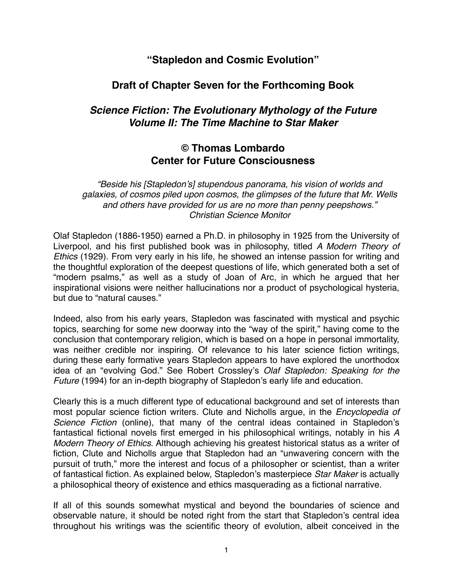## **"Stapledon and Cosmic Evolution"**

# **Draft of Chapter Seven for the Forthcoming Book**

# *Science Fiction: The Evolutionary Mythology of the Future Volume II: The Time Machine to Star Maker*

## **© Thomas Lombardo Center for Future Consciousness**

*"Beside his [Stapledon's] stupendous panorama, his vision of worlds and galaxies, of cosmos piled upon cosmos, the glimpses of the future that Mr. Wells and others have provided for us are no more than penny peepshows." Christian Science Monitor*

Olaf Stapledon (1886-1950) earned a Ph.D. in philosophy in 1925 from the University of Liverpool, and his first published book was in philosophy, titled *A Modern Theory of Ethics* (1929). From very early in his life, he showed an intense passion for writing and the thoughtful exploration of the deepest questions of life, which generated both a set of "modern psalms," as well as a study of Joan of Arc, in which he argued that her inspirational visions were neither hallucinations nor a product of psychological hysteria, but due to "natural causes."

Indeed, also from his early years, Stapledon was fascinated with mystical and psychic topics, searching for some new doorway into the "way of the spirit," having come to the conclusion that contemporary religion, which is based on a hope in personal immortality, was neither credible nor inspiring. Of relevance to his later science fiction writings, during these early formative years Stapledon appears to have explored the unorthodox idea of an "evolving God." See Robert Crossley's *Olaf Stapledon: Speaking for the Future* (1994) for an in-depth biography of Stapledon's early life and education.

Clearly this is a much different type of educational background and set of interests than most popular science fiction writers. Clute and Nicholls argue, in the *Encyclopedia of Science Fiction* (online), that many of the central ideas contained in Stapledon's fantastical fictional novels first emerged in his philosophical writings, notably in his *A Modern Theory of Ethics*. Although achieving his greatest historical status as a writer of fiction, Clute and Nicholls argue that Stapledon had an "unwavering concern with the pursuit of truth," more the interest and focus of a philosopher or scientist, than a writer of fantastical fiction. As explained below, Stapledon's masterpiece *Star Maker* is actually a philosophical theory of existence and ethics masquerading as a fictional narrative.

If all of this sounds somewhat mystical and beyond the boundaries of science and observable nature, it should be noted right from the start that Stapledon's central idea throughout his writings was the scientific theory of evolution, albeit conceived in the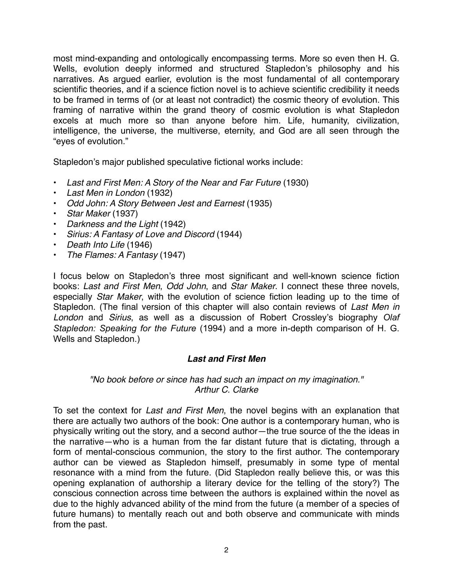most mind-expanding and ontologically encompassing terms. More so even then H. G. Wells, evolution deeply informed and structured Stapledon's philosophy and his narratives. As argued earlier, evolution is the most fundamental of all contemporary scientific theories, and if a science fiction novel is to achieve scientific credibility it needs to be framed in terms of (or at least not contradict) the cosmic theory of evolution. This framing of narrative within the grand theory of cosmic evolution is what Stapledon excels at much more so than anyone before him. Life, humanity, civilization, intelligence, the universe, the multiverse, eternity, and God are all seen through the "eyes of evolution."

Stapledon's major published speculative fictional works include:

- *Last and First Men: A Story of the Near and Far Future* (1930)
- *Last Men in London* (1932)
- *Odd John: A Story Between Jest and Earnest* (1935)
- *Star Maker* (1937)
- *Darkness and the Light* (1942)
- *Sirius: A Fantasy of Love and Discord* (1944)
- *Death Into Life* (1946)
- *The Flames: A Fantasy* (1947)

I focus below on Stapledon's three most significant and well-known science fiction books: *Last and First Men*, *Odd John*, and *Star Maker*. I connect these three novels, especially *Star Maker*, with the evolution of science fiction leading up to the time of Stapledon. (The final version of this chapter will also contain reviews of *Last Men in London* and *Sirius*, as well as a discussion of Robert Crossley's biography *Olaf Stapledon: Speaking for the Future* (1994) and a more in-depth comparison of H. G. Wells and Stapledon.)

### *Last and First Men*

#### *"No book before or since has had such an impact on my imagination." Arthur C. Clarke*

To set the context for *Last and First Men*, the novel begins with an explanation that there are actually two authors of the book: One author is a contemporary human, who is physically writing out the story, and a second author—the true source of the the ideas in the narrative—who is a human from the far distant future that is dictating, through a form of mental-conscious communion, the story to the first author. The contemporary author can be viewed as Stapledon himself, presumably in some type of mental resonance with a mind from the future. (Did Stapledon really believe this, or was this opening explanation of authorship a literary device for the telling of the story?) The conscious connection across time between the authors is explained within the novel as due to the highly advanced ability of the mind from the future (a member of a species of future humans) to mentally reach out and both observe and communicate with minds from the past.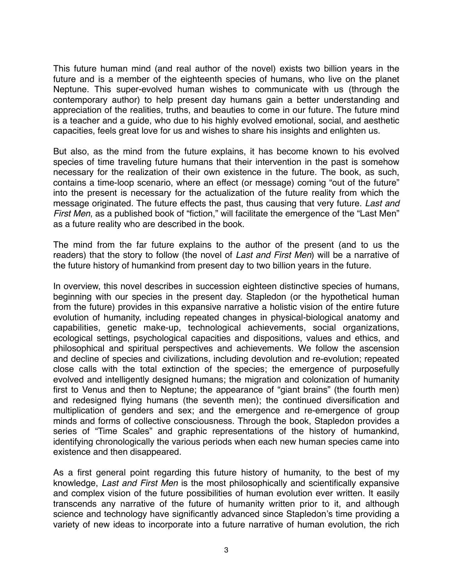This future human mind (and real author of the novel) exists two billion years in the future and is a member of the eighteenth species of humans, who live on the planet Neptune. This super-evolved human wishes to communicate with us (through the contemporary author) to help present day humans gain a better understanding and appreciation of the realities, truths, and beauties to come in our future. The future mind is a teacher and a guide, who due to his highly evolved emotional, social, and aesthetic capacities, feels great love for us and wishes to share his insights and enlighten us.

But also, as the mind from the future explains, it has become known to his evolved species of time traveling future humans that their intervention in the past is somehow necessary for the realization of their own existence in the future. The book, as such, contains a time-loop scenario, where an effect (or message) coming "out of the future" into the present is necessary for the actualization of the future reality from which the message originated. The future effects the past, thus causing that very future. *Last and First Men*, as a published book of "fiction," will facilitate the emergence of the "Last Men" as a future reality who are described in the book.

The mind from the far future explains to the author of the present (and to us the readers) that the story to follow (the novel of *Last and First Men*) will be a narrative of the future history of humankind from present day to two billion years in the future.

In overview, this novel describes in succession eighteen distinctive species of humans, beginning with our species in the present day. Stapledon (or the hypothetical human from the future) provides in this expansive narrative a holistic vision of the entire future evolution of humanity, including repeated changes in physical-biological anatomy and capabilities, genetic make-up, technological achievements, social organizations, ecological settings, psychological capacities and dispositions, values and ethics, and philosophical and spiritual perspectives and achievements. We follow the ascension and decline of species and civilizations, including devolution and re-evolution; repeated close calls with the total extinction of the species; the emergence of purposefully evolved and intelligently designed humans; the migration and colonization of humanity first to Venus and then to Neptune; the appearance of "giant brains" (the fourth men) and redesigned flying humans (the seventh men); the continued diversification and multiplication of genders and sex; and the emergence and re-emergence of group minds and forms of collective consciousness. Through the book, Stapledon provides a series of "Time Scales" and graphic representations of the history of humankind, identifying chronologically the various periods when each new human species came into existence and then disappeared.

As a first general point regarding this future history of humanity, to the best of my knowledge, *Last and First Men* is the most philosophically and scientifically expansive and complex vision of the future possibilities of human evolution ever written. It easily transcends any narrative of the future of humanity written prior to it, and although science and technology have significantly advanced since Stapledon's time providing a variety of new ideas to incorporate into a future narrative of human evolution, the rich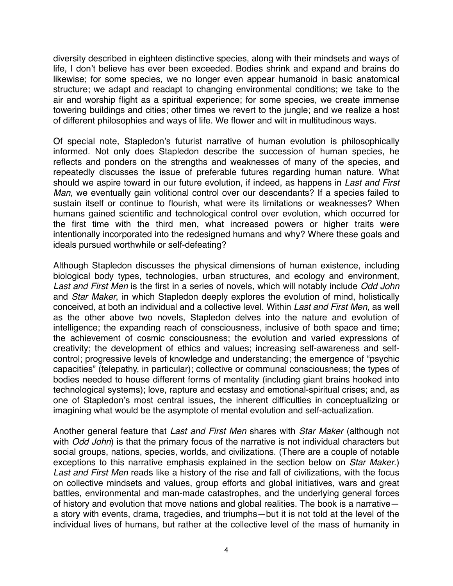diversity described in eighteen distinctive species, along with their mindsets and ways of life, I don't believe has ever been exceeded. Bodies shrink and expand and brains do likewise; for some species, we no longer even appear humanoid in basic anatomical structure; we adapt and readapt to changing environmental conditions; we take to the air and worship flight as a spiritual experience; for some species, we create immense towering buildings and cities; other times we revert to the jungle; and we realize a host of different philosophies and ways of life. We flower and wilt in multitudinous ways.

Of special note, Stapledon's futurist narrative of human evolution is philosophically informed. Not only does Stapledon describe the succession of human species, he reflects and ponders on the strengths and weaknesses of many of the species, and repeatedly discusses the issue of preferable futures regarding human nature. What should we aspire toward in our future evolution, if indeed, as happens in *Last and First Man*, we eventually gain volitional control over our descendants? If a species failed to sustain itself or continue to flourish, what were its limitations or weaknesses? When humans gained scientific and technological control over evolution, which occurred for the first time with the third men, what increased powers or higher traits were intentionally incorporated into the redesigned humans and why? Where these goals and ideals pursued worthwhile or self-defeating?

Although Stapledon discusses the physical dimensions of human existence, including biological body types, technologies, urban structures, and ecology and environment, *Last and First Men* is the first in a series of novels, which will notably include *Odd John*  and *Star Maker*, in which Stapledon deeply explores the evolution of mind, holistically conceived, at both an individual and a collective level. Within *Last and First Men,* as well as the other above two novels, Stapledon delves into the nature and evolution of intelligence; the expanding reach of consciousness, inclusive of both space and time; the achievement of cosmic consciousness; the evolution and varied expressions of creativity; the development of ethics and values; increasing self-awareness and selfcontrol; progressive levels of knowledge and understanding; the emergence of "psychic capacities" (telepathy, in particular); collective or communal consciousness; the types of bodies needed to house different forms of mentality (including giant brains hooked into technological systems); love, rapture and ecstasy and emotional-spiritual crises; and, as one of Stapledon's most central issues, the inherent difficulties in conceptualizing or imagining what would be the asymptote of mental evolution and self-actualization.

Another general feature that *Last and First Men* shares with *Star Maker* (although not with *Odd John*) is that the primary focus of the narrative is not individual characters but social groups, nations, species, worlds, and civilizations. (There are a couple of notable exceptions to this narrative emphasis explained in the section below on *Star Maker*.) *Last and First Men* reads like a history of the rise and fall of civilizations, with the focus on collective mindsets and values, group efforts and global initiatives, wars and great battles, environmental and man-made catastrophes, and the underlying general forces of history and evolution that move nations and global realities. The book is a narrative a story with events, drama, tragedies, and triumphs—but it is not told at the level of the individual lives of humans, but rather at the collective level of the mass of humanity in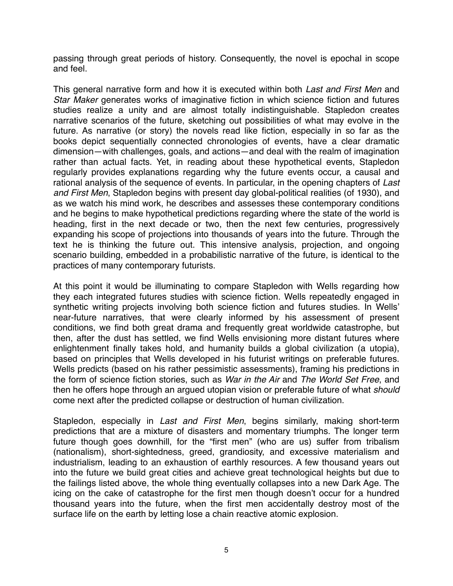passing through great periods of history. Consequently, the novel is epochal in scope and feel.

This general narrative form and how it is executed within both *Last and First Men* and *Star Maker* generates works of imaginative fiction in which science fiction and futures studies realize a unity and are almost totally indistinguishable. Stapledon creates narrative scenarios of the future, sketching out possibilities of what may evolve in the future. As narrative (or story) the novels read like fiction, especially in so far as the books depict sequentially connected chronologies of events, have a clear dramatic dimension—with challenges, goals, and actions—and deal with the realm of imagination rather than actual facts. Yet, in reading about these hypothetical events, Stapledon regularly provides explanations regarding why the future events occur, a causal and rational analysis of the sequence of events. In particular, in the opening chapters of *Last and First Men*, Stapledon begins with present day global-political realities (of 1930), and as we watch his mind work, he describes and assesses these contemporary conditions and he begins to make hypothetical predictions regarding where the state of the world is heading, first in the next decade or two, then the next few centuries, progressively expanding his scope of projections into thousands of years into the future. Through the text he is thinking the future out. This intensive analysis, projection, and ongoing scenario building, embedded in a probabilistic narrative of the future, is identical to the practices of many contemporary futurists.

At this point it would be illuminating to compare Stapledon with Wells regarding how they each integrated futures studies with science fiction. Wells repeatedly engaged in synthetic writing projects involving both science fiction and futures studies. In Wells' near-future narratives, that were clearly informed by his assessment of present conditions, we find both great drama and frequently great worldwide catastrophe, but then, after the dust has settled, we find Wells envisioning more distant futures where enlightenment finally takes hold, and humanity builds a global civilization (a utopia), based on principles that Wells developed in his futurist writings on preferable futures. Wells predicts (based on his rather pessimistic assessments), framing his predictions in the form of science fiction stories, such as *War in the Air* and *The World Set Free*, and then he offers hope through an argued utopian vision or preferable future of what *should* come next after the predicted collapse or destruction of human civilization.

Stapledon, especially in *Last and First Men*, begins similarly, making short-term predictions that are a mixture of disasters and momentary triumphs. The longer term future though goes downhill, for the "first men" (who are us) suffer from tribalism (nationalism), short-sightedness, greed, grandiosity, and excessive materialism and industrialism, leading to an exhaustion of earthly resources. A few thousand years out into the future we build great cities and achieve great technological heights but due to the failings listed above, the whole thing eventually collapses into a new Dark Age. The icing on the cake of catastrophe for the first men though doesn't occur for a hundred thousand years into the future, when the first men accidentally destroy most of the surface life on the earth by letting lose a chain reactive atomic explosion.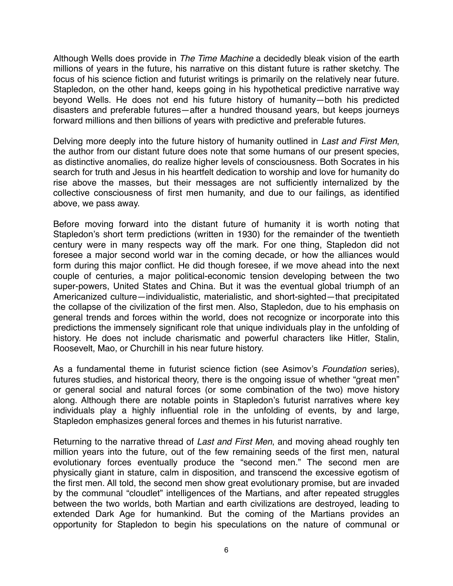Although Wells does provide in *The Time Machine* a decidedly bleak vision of the earth millions of years in the future, his narrative on this distant future is rather sketchy. The focus of his science fiction and futurist writings is primarily on the relatively near future. Stapledon, on the other hand, keeps going in his hypothetical predictive narrative way beyond Wells. He does not end his future history of humanity—both his predicted disasters and preferable futures—after a hundred thousand years, but keeps journeys forward millions and then billions of years with predictive and preferable futures.

Delving more deeply into the future history of humanity outlined in *Last and First Men*, the author from our distant future does note that some humans of our present species, as distinctive anomalies, do realize higher levels of consciousness. Both Socrates in his search for truth and Jesus in his heartfelt dedication to worship and love for humanity do rise above the masses, but their messages are not sufficiently internalized by the collective consciousness of first men humanity, and due to our failings, as identified above, we pass away.

Before moving forward into the distant future of humanity it is worth noting that Stapledon's short term predictions (written in 1930) for the remainder of the twentieth century were in many respects way off the mark. For one thing, Stapledon did not foresee a major second world war in the coming decade, or how the alliances would form during this major conflict. He did though foresee, if we move ahead into the next couple of centuries, a major political-economic tension developing between the two super-powers, United States and China. But it was the eventual global triumph of an Americanized culture—individualistic, materialistic, and short-sighted—that precipitated the collapse of the civilization of the first men. Also, Stapledon, due to his emphasis on general trends and forces within the world, does not recognize or incorporate into this predictions the immensely significant role that unique individuals play in the unfolding of history. He does not include charismatic and powerful characters like Hitler, Stalin, Roosevelt, Mao, or Churchill in his near future history.

As a fundamental theme in futurist science fiction (see Asimov's *Foundation* series), futures studies, and historical theory, there is the ongoing issue of whether "great men" or general social and natural forces (or some combination of the two) move history along. Although there are notable points in Stapledon's futurist narratives where key individuals play a highly influential role in the unfolding of events, by and large, Stapledon emphasizes general forces and themes in his futurist narrative.

Returning to the narrative thread of *Last and First Men*, and moving ahead roughly ten million years into the future, out of the few remaining seeds of the first men, natural evolutionary forces eventually produce the "second men." The second men are physically giant in stature, calm in disposition, and transcend the excessive egotism of the first men. All told, the second men show great evolutionary promise, but are invaded by the communal "cloudlet" intelligences of the Martians, and after repeated struggles between the two worlds, both Martian and earth civilizations are destroyed, leading to extended Dark Age for humankind. But the coming of the Martians provides an opportunity for Stapledon to begin his speculations on the nature of communal or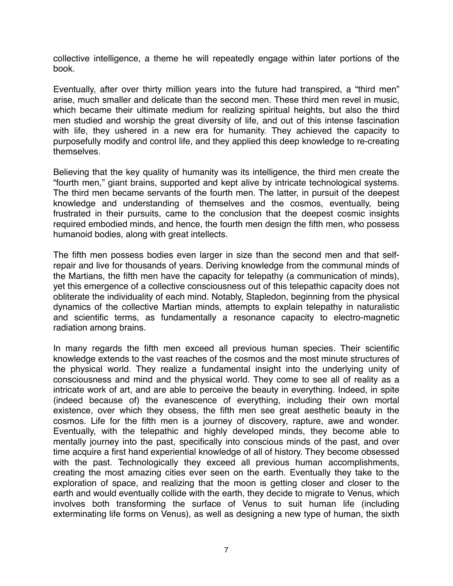collective intelligence, a theme he will repeatedly engage within later portions of the book.

Eventually, after over thirty million years into the future had transpired, a "third men" arise, much smaller and delicate than the second men. These third men revel in music, which became their ultimate medium for realizing spiritual heights, but also the third men studied and worship the great diversity of life, and out of this intense fascination with life, they ushered in a new era for humanity. They achieved the capacity to purposefully modify and control life, and they applied this deep knowledge to re-creating themselves.

Believing that the key quality of humanity was its intelligence, the third men create the "fourth men," giant brains, supported and kept alive by intricate technological systems. The third men became servants of the fourth men. The latter, in pursuit of the deepest knowledge and understanding of themselves and the cosmos, eventually, being frustrated in their pursuits, came to the conclusion that the deepest cosmic insights required embodied minds, and hence, the fourth men design the fifth men, who possess humanoid bodies, along with great intellects.

The fifth men possess bodies even larger in size than the second men and that selfrepair and live for thousands of years. Deriving knowledge from the communal minds of the Martians, the fifth men have the capacity for telepathy (a communication of minds), yet this emergence of a collective consciousness out of this telepathic capacity does not obliterate the individuality of each mind. Notably, Stapledon, beginning from the physical dynamics of the collective Martian minds, attempts to explain telepathy in naturalistic and scientific terms, as fundamentally a resonance capacity to electro-magnetic radiation among brains.

In many regards the fifth men exceed all previous human species. Their scientific knowledge extends to the vast reaches of the cosmos and the most minute structures of the physical world. They realize a fundamental insight into the underlying unity of consciousness and mind and the physical world. They come to see all of reality as a intricate work of art, and are able to perceive the beauty in everything. Indeed, in spite (indeed because of) the evanescence of everything, including their own mortal existence, over which they obsess, the fifth men see great aesthetic beauty in the cosmos. Life for the fifth men is a journey of discovery, rapture, awe and wonder. Eventually, with the telepathic and highly developed minds, they become able to mentally journey into the past, specifically into conscious minds of the past, and over time acquire a first hand experiential knowledge of all of history. They become obsessed with the past. Technologically they exceed all previous human accomplishments, creating the most amazing cities ever seen on the earth. Eventually they take to the exploration of space, and realizing that the moon is getting closer and closer to the earth and would eventually collide with the earth, they decide to migrate to Venus, which involves both transforming the surface of Venus to suit human life (including exterminating life forms on Venus), as well as designing a new type of human, the sixth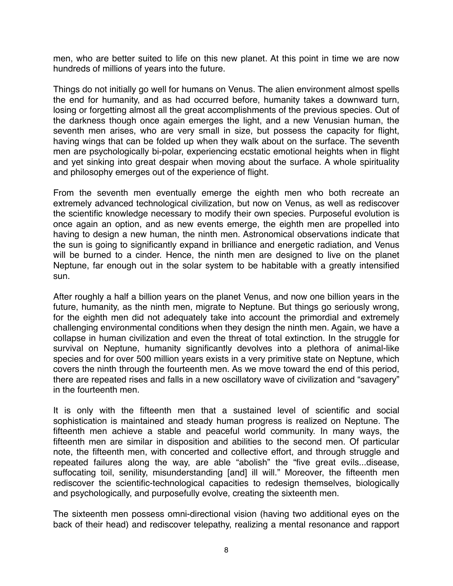men, who are better suited to life on this new planet. At this point in time we are now hundreds of millions of years into the future.

Things do not initially go well for humans on Venus. The alien environment almost spells the end for humanity, and as had occurred before, humanity takes a downward turn, losing or forgetting almost all the great accomplishments of the previous species. Out of the darkness though once again emerges the light, and a new Venusian human, the seventh men arises, who are very small in size, but possess the capacity for flight, having wings that can be folded up when they walk about on the surface. The seventh men are psychologically bi-polar, experiencing ecstatic emotional heights when in flight and yet sinking into great despair when moving about the surface. A whole spirituality and philosophy emerges out of the experience of flight.

From the seventh men eventually emerge the eighth men who both recreate an extremely advanced technological civilization, but now on Venus, as well as rediscover the scientific knowledge necessary to modify their own species. Purposeful evolution is once again an option, and as new events emerge, the eighth men are propelled into having to design a new human, the ninth men. Astronomical observations indicate that the sun is going to significantly expand in brilliance and energetic radiation, and Venus will be burned to a cinder. Hence, the ninth men are designed to live on the planet Neptune, far enough out in the solar system to be habitable with a greatly intensified sun.

After roughly a half a billion years on the planet Venus, and now one billion years in the future, humanity, as the ninth men, migrate to Neptune. But things go seriously wrong, for the eighth men did not adequately take into account the primordial and extremely challenging environmental conditions when they design the ninth men. Again, we have a collapse in human civilization and even the threat of total extinction. In the struggle for survival on Neptune, humanity significantly devolves into a plethora of animal-like species and for over 500 million years exists in a very primitive state on Neptune, which covers the ninth through the fourteenth men. As we move toward the end of this period, there are repeated rises and falls in a new oscillatory wave of civilization and "savagery" in the fourteenth men.

It is only with the fifteenth men that a sustained level of scientific and social sophistication is maintained and steady human progress is realized on Neptune. The fifteenth men achieve a stable and peaceful world community. In many ways, the fifteenth men are similar in disposition and abilities to the second men. Of particular note, the fifteenth men, with concerted and collective effort, and through struggle and repeated failures along the way, are able "abolish" the "five great evils...disease, suffocating toil, senility, misunderstanding [and] ill will." Moreover, the fifteenth men rediscover the scientific-technological capacities to redesign themselves, biologically and psychologically, and purposefully evolve, creating the sixteenth men.

The sixteenth men possess omni-directional vision (having two additional eyes on the back of their head) and rediscover telepathy, realizing a mental resonance and rapport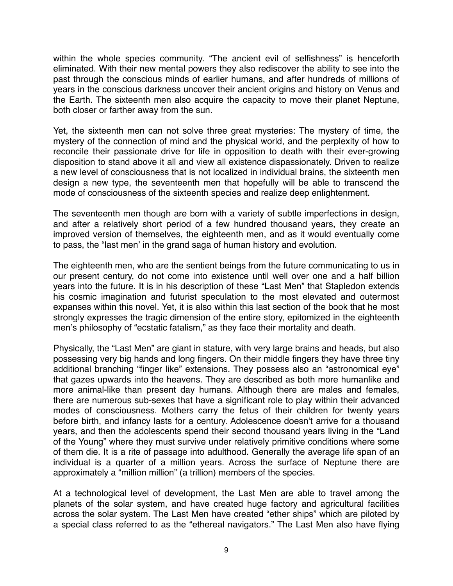within the whole species community. "The ancient evil of selfishness" is henceforth eliminated. With their new mental powers they also rediscover the ability to see into the past through the conscious minds of earlier humans, and after hundreds of millions of years in the conscious darkness uncover their ancient origins and history on Venus and the Earth. The sixteenth men also acquire the capacity to move their planet Neptune, both closer or farther away from the sun.

Yet, the sixteenth men can not solve three great mysteries: The mystery of time, the mystery of the connection of mind and the physical world, and the perplexity of how to reconcile their passionate drive for life in opposition to death with their ever-growing disposition to stand above it all and view all existence dispassionately. Driven to realize a new level of consciousness that is not localized in individual brains, the sixteenth men design a new type, the seventeenth men that hopefully will be able to transcend the mode of consciousness of the sixteenth species and realize deep enlightenment.

The seventeenth men though are born with a variety of subtle imperfections in design, and after a relatively short period of a few hundred thousand years, they create an improved version of themselves, the eighteenth men, and as it would eventually come to pass, the "last men' in the grand saga of human history and evolution.

The eighteenth men, who are the sentient beings from the future communicating to us in our present century, do not come into existence until well over one and a half billion years into the future. It is in his description of these "Last Men" that Stapledon extends his cosmic imagination and futurist speculation to the most elevated and outermost expanses within this novel. Yet, it is also within this last section of the book that he most strongly expresses the tragic dimension of the entire story, epitomized in the eighteenth men's philosophy of "ecstatic fatalism," as they face their mortality and death.

Physically, the "Last Men" are giant in stature, with very large brains and heads, but also possessing very big hands and long fingers. On their middle fingers they have three tiny additional branching "finger like" extensions. They possess also an "astronomical eye" that gazes upwards into the heavens. They are described as both more humanlike and more animal-like than present day humans. Although there are males and females, there are numerous sub-sexes that have a significant role to play within their advanced modes of consciousness. Mothers carry the fetus of their children for twenty years before birth, and infancy lasts for a century. Adolescence doesn't arrive for a thousand years, and then the adolescents spend their second thousand years living in the "Land of the Young" where they must survive under relatively primitive conditions where some of them die. It is a rite of passage into adulthood. Generally the average life span of an individual is a quarter of a million years. Across the surface of Neptune there are approximately a "million million" (a trillion) members of the species.

At a technological level of development, the Last Men are able to travel among the planets of the solar system, and have created huge factory and agricultural facilities across the solar system. The Last Men have created "ether ships" which are piloted by a special class referred to as the "ethereal navigators." The Last Men also have flying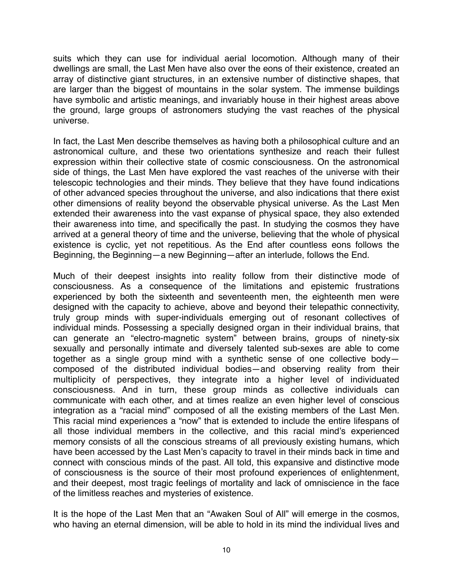suits which they can use for individual aerial locomotion. Although many of their dwellings are small, the Last Men have also over the eons of their existence, created an array of distinctive giant structures, in an extensive number of distinctive shapes, that are larger than the biggest of mountains in the solar system. The immense buildings have symbolic and artistic meanings, and invariably house in their highest areas above the ground, large groups of astronomers studying the vast reaches of the physical universe.

In fact, the Last Men describe themselves as having both a philosophical culture and an astronomical culture, and these two orientations synthesize and reach their fullest expression within their collective state of cosmic consciousness. On the astronomical side of things, the Last Men have explored the vast reaches of the universe with their telescopic technologies and their minds. They believe that they have found indications of other advanced species throughout the universe, and also indications that there exist other dimensions of reality beyond the observable physical universe. As the Last Men extended their awareness into the vast expanse of physical space, they also extended their awareness into time, and specifically the past. In studying the cosmos they have arrived at a general theory of time and the universe, believing that the whole of physical existence is cyclic, yet not repetitious. As the End after countless eons follows the Beginning, the Beginning—a new Beginning—after an interlude, follows the End.

Much of their deepest insights into reality follow from their distinctive mode of consciousness. As a consequence of the limitations and epistemic frustrations experienced by both the sixteenth and seventeenth men, the eighteenth men were designed with the capacity to achieve, above and beyond their telepathic connectivity, truly group minds with super-individuals emerging out of resonant collectives of individual minds. Possessing a specially designed organ in their individual brains, that can generate an "electro-magnetic system" between brains, groups of ninety-six sexually and personally intimate and diversely talented sub-sexes are able to come together as a single group mind with a synthetic sense of one collective body composed of the distributed individual bodies—and observing reality from their multiplicity of perspectives, they integrate into a higher level of individuated consciousness. And in turn, these group minds as collective individuals can communicate with each other, and at times realize an even higher level of conscious integration as a "racial mind" composed of all the existing members of the Last Men. This racial mind experiences a "now" that is extended to include the entire lifespans of all those individual members in the collective, and this racial mind's experienced memory consists of all the conscious streams of all previously existing humans, which have been accessed by the Last Men's capacity to travel in their minds back in time and connect with conscious minds of the past. All told, this expansive and distinctive mode of consciousness is the source of their most profound experiences of enlightenment, and their deepest, most tragic feelings of mortality and lack of omniscience in the face of the limitless reaches and mysteries of existence.

It is the hope of the Last Men that an "Awaken Soul of All" will emerge in the cosmos, who having an eternal dimension, will be able to hold in its mind the individual lives and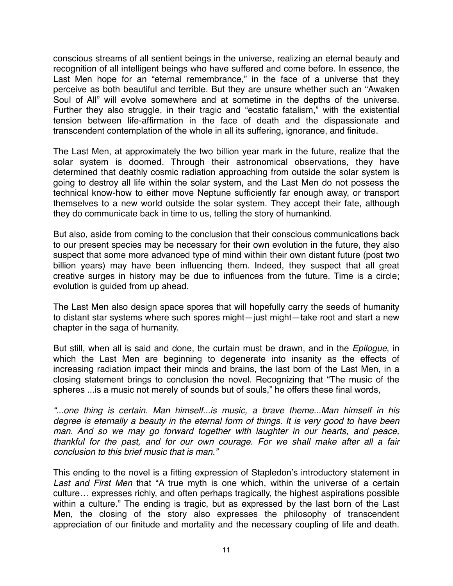conscious streams of all sentient beings in the universe, realizing an eternal beauty and recognition of all intelligent beings who have suffered and come before. In essence, the Last Men hope for an "eternal remembrance," in the face of a universe that they perceive as both beautiful and terrible. But they are unsure whether such an "Awaken Soul of All" will evolve somewhere and at sometime in the depths of the universe. Further they also struggle, in their tragic and "ecstatic fatalism," with the existential tension between life-affirmation in the face of death and the dispassionate and transcendent contemplation of the whole in all its suffering, ignorance, and finitude.

The Last Men, at approximately the two billion year mark in the future, realize that the solar system is doomed. Through their astronomical observations, they have determined that deathly cosmic radiation approaching from outside the solar system is going to destroy all life within the solar system, and the Last Men do not possess the technical know-how to either move Neptune sufficiently far enough away, or transport themselves to a new world outside the solar system. They accept their fate, although they do communicate back in time to us, telling the story of humankind.

But also, aside from coming to the conclusion that their conscious communications back to our present species may be necessary for their own evolution in the future, they also suspect that some more advanced type of mind within their own distant future (post two billion years) may have been influencing them. Indeed, they suspect that all great creative surges in history may be due to influences from the future. Time is a circle; evolution is guided from up ahead.

The Last Men also design space spores that will hopefully carry the seeds of humanity to distant star systems where such spores might—just might—take root and start a new chapter in the saga of humanity.

But still, when all is said and done, the curtain must be drawn, and in the *Epilogue*, in which the Last Men are beginning to degenerate into insanity as the effects of increasing radiation impact their minds and brains, the last born of the Last Men, in a closing statement brings to conclusion the novel. Recognizing that "The music of the spheres ...is a music not merely of sounds but of souls," he offers these final words,

*"...one thing is certain. Man himself...is music, a brave theme...Man himself in his degree is eternally a beauty in the eternal form of things. It is very good to have been*  man. And so we may go forward together with laughter in our hearts, and peace, *thankful for the past, and for our own courage. For we shall make after all a fair conclusion to this brief music that is man."*

This ending to the novel is a fitting expression of Stapledon's introductory statement in *Last and First Men* that "A true myth is one which, within the universe of a certain culture… expresses richly, and often perhaps tragically, the highest aspirations possible within a culture." The ending is tragic, but as expressed by the last born of the Last Men, the closing of the story also expresses the philosophy of transcendent appreciation of our finitude and mortality and the necessary coupling of life and death.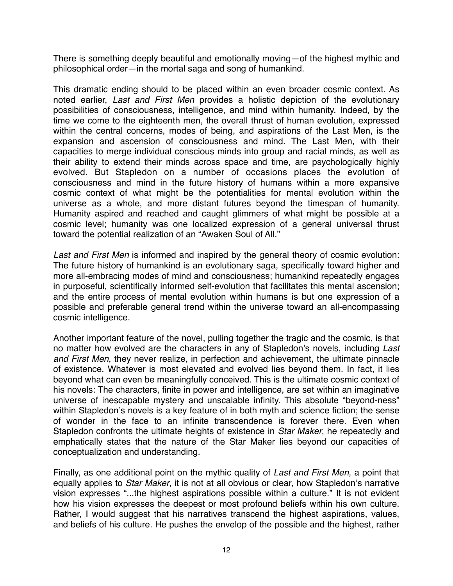There is something deeply beautiful and emotionally moving—of the highest mythic and philosophical order—in the mortal saga and song of humankind.

This dramatic ending should to be placed within an even broader cosmic context. As noted earlier, *Last and First Men* provides a holistic depiction of the evolutionary possibilities of consciousness, intelligence, and mind within humanity. Indeed, by the time we come to the eighteenth men, the overall thrust of human evolution, expressed within the central concerns, modes of being, and aspirations of the Last Men, is the expansion and ascension of consciousness and mind. The Last Men, with their capacities to merge individual conscious minds into group and racial minds, as well as their ability to extend their minds across space and time, are psychologically highly evolved. But Stapledon on a number of occasions places the evolution of consciousness and mind in the future history of humans within a more expansive cosmic context of what might be the potentialities for mental evolution within the universe as a whole, and more distant futures beyond the timespan of humanity. Humanity aspired and reached and caught glimmers of what might be possible at a cosmic level; humanity was one localized expression of a general universal thrust toward the potential realization of an "Awaken Soul of All."

*Last and First Men* is informed and inspired by the general theory of cosmic evolution: The future history of humankind is an evolutionary saga, specifically toward higher and more all-embracing modes of mind and consciousness; humankind repeatedly engages in purposeful, scientifically informed self-evolution that facilitates this mental ascension; and the entire process of mental evolution within humans is but one expression of a possible and preferable general trend within the universe toward an all-encompassing cosmic intelligence.

Another important feature of the novel, pulling together the tragic and the cosmic, is that no matter how evolved are the characters in any of Stapledon's novels, including *Last and First Men*, they never realize, in perfection and achievement, the ultimate pinnacle of existence. Whatever is most elevated and evolved lies beyond them. In fact, it lies beyond what can even be meaningfully conceived. This is the ultimate cosmic context of his novels: The characters, finite in power and intelligence, are set within an imaginative universe of inescapable mystery and unscalable infinity. This absolute "beyond-ness" within Stapledon's novels is a key feature of in both myth and science fiction; the sense of wonder in the face to an infinite transcendence is forever there. Even when Stapledon confronts the ultimate heights of existence in *Star Maker*, he repeatedly and emphatically states that the nature of the Star Maker lies beyond our capacities of conceptualization and understanding.

Finally, as one additional point on the mythic quality of *Last and First Men*, a point that equally applies to *Star Maker*, it is not at all obvious or clear, how Stapledon's narrative vision expresses "...the highest aspirations possible within a culture." It is not evident how his vision expresses the deepest or most profound beliefs within his own culture. Rather, I would suggest that his narratives transcend the highest aspirations, values, and beliefs of his culture. He pushes the envelop of the possible and the highest, rather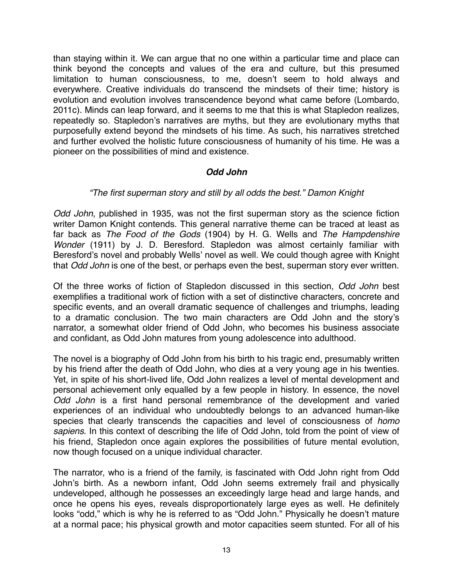than staying within it. We can argue that no one within a particular time and place can think beyond the concepts and values of the era and culture, but this presumed limitation to human consciousness, to me, doesn't seem to hold always and everywhere. Creative individuals do transcend the mindsets of their time; history is evolution and evolution involves transcendence beyond what came before (Lombardo, 2011c). Minds can leap forward, and it seems to me that this is what Stapledon realizes, repeatedly so. Stapledon's narratives are myths, but they are evolutionary myths that purposefully extend beyond the mindsets of his time. As such, his narratives stretched and further evolved the holistic future consciousness of humanity of his time. He was a pioneer on the possibilities of mind and existence.

### *Odd John*

#### *"The first superman story and still by all odds the best." Damon Knight*

*Odd John*, published in 1935, was not the first superman story as the science fiction writer Damon Knight contends. This general narrative theme can be traced at least as far back as *The Food of the Gods* (1904) by H. G. Wells and *The Hampdenshire Wonder* (1911) by J. D. Beresford. Stapledon was almost certainly familiar with Beresford's novel and probably Wells' novel as well. We could though agree with Knight that *Odd John* is one of the best, or perhaps even the best, superman story ever written.

Of the three works of fiction of Stapledon discussed in this section, *Odd John* best exemplifies a traditional work of fiction with a set of distinctive characters, concrete and specific events, and an overall dramatic sequence of challenges and triumphs, leading to a dramatic conclusion. The two main characters are Odd John and the story's narrator, a somewhat older friend of Odd John, who becomes his business associate and confidant, as Odd John matures from young adolescence into adulthood.

The novel is a biography of Odd John from his birth to his tragic end, presumably written by his friend after the death of Odd John, who dies at a very young age in his twenties. Yet, in spite of his short-lived life, Odd John realizes a level of mental development and personal achievement only equalled by a few people in history. In essence, the novel *Odd John* is a first hand personal remembrance of the development and varied experiences of an individual who undoubtedly belongs to an advanced human-like species that clearly transcends the capacities and level of consciousness of *homo sapiens*. In this context of describing the life of Odd John, told from the point of view of his friend, Stapledon once again explores the possibilities of future mental evolution, now though focused on a unique individual character.

The narrator, who is a friend of the family, is fascinated with Odd John right from Odd John's birth. As a newborn infant, Odd John seems extremely frail and physically undeveloped, although he possesses an exceedingly large head and large hands, and once he opens his eyes, reveals disproportionately large eyes as well. He definitely looks "odd," which is why he is referred to as "Odd John." Physically he doesn't mature at a normal pace; his physical growth and motor capacities seem stunted. For all of his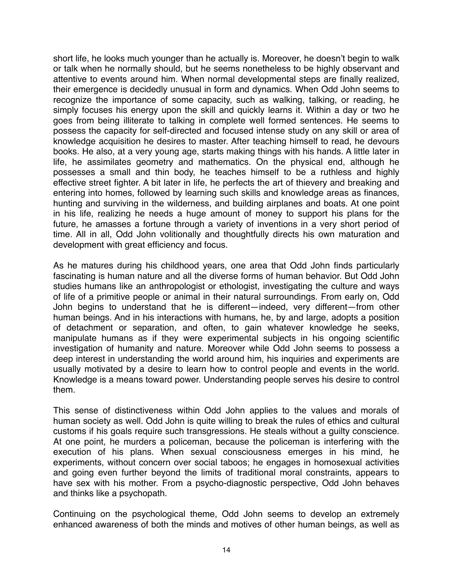short life, he looks much younger than he actually is. Moreover, he doesn't begin to walk or talk when he normally should, but he seems nonetheless to be highly observant and attentive to events around him. When normal developmental steps are finally realized, their emergence is decidedly unusual in form and dynamics. When Odd John seems to recognize the importance of some capacity, such as walking, talking, or reading, he simply focuses his energy upon the skill and quickly learns it. Within a day or two he goes from being illiterate to talking in complete well formed sentences. He seems to possess the capacity for self-directed and focused intense study on any skill or area of knowledge acquisition he desires to master. After teaching himself to read, he devours books. He also, at a very young age, starts making things with his hands. A little later in life, he assimilates geometry and mathematics. On the physical end, although he possesses a small and thin body, he teaches himself to be a ruthless and highly effective street fighter. A bit later in life, he perfects the art of thievery and breaking and entering into homes, followed by learning such skills and knowledge areas as finances, hunting and surviving in the wilderness, and building airplanes and boats. At one point in his life, realizing he needs a huge amount of money to support his plans for the future, he amasses a fortune through a variety of inventions in a very short period of time. All in all, Odd John volitionally and thoughtfully directs his own maturation and development with great efficiency and focus.

As he matures during his childhood years, one area that Odd John finds particularly fascinating is human nature and all the diverse forms of human behavior. But Odd John studies humans like an anthropologist or ethologist, investigating the culture and ways of life of a primitive people or animal in their natural surroundings. From early on, Odd John begins to understand that he is different—indeed, very different—from other human beings. And in his interactions with humans, he, by and large, adopts a position of detachment or separation, and often, to gain whatever knowledge he seeks, manipulate humans as if they were experimental subjects in his ongoing scientific investigation of humanity and nature. Moreover while Odd John seems to possess a deep interest in understanding the world around him, his inquiries and experiments are usually motivated by a desire to learn how to control people and events in the world. Knowledge is a means toward power. Understanding people serves his desire to control them.

This sense of distinctiveness within Odd John applies to the values and morals of human society as well. Odd John is quite willing to break the rules of ethics and cultural customs if his goals require such transgressions. He steals without a guilty conscience. At one point, he murders a policeman, because the policeman is interfering with the execution of his plans. When sexual consciousness emerges in his mind, he experiments, without concern over social taboos; he engages in homosexual activities and going even further beyond the limits of traditional moral constraints, appears to have sex with his mother. From a psycho-diagnostic perspective, Odd John behaves and thinks like a psychopath.

Continuing on the psychological theme, Odd John seems to develop an extremely enhanced awareness of both the minds and motives of other human beings, as well as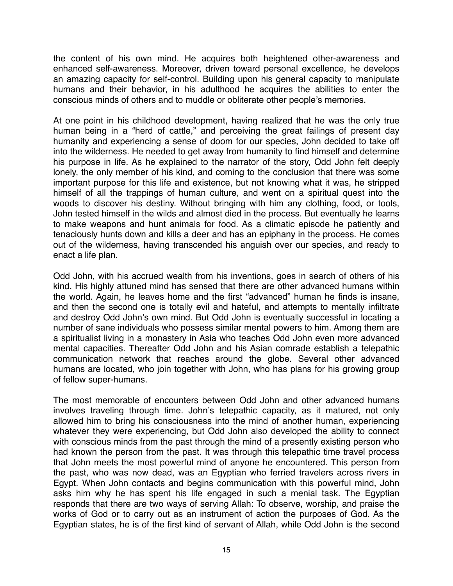the content of his own mind. He acquires both heightened other-awareness and enhanced self-awareness. Moreover, driven toward personal excellence, he develops an amazing capacity for self-control. Building upon his general capacity to manipulate humans and their behavior, in his adulthood he acquires the abilities to enter the conscious minds of others and to muddle or obliterate other people's memories.

At one point in his childhood development, having realized that he was the only true human being in a "herd of cattle," and perceiving the great failings of present day humanity and experiencing a sense of doom for our species, John decided to take off into the wilderness. He needed to get away from humanity to find himself and determine his purpose in life. As he explained to the narrator of the story, Odd John felt deeply lonely, the only member of his kind, and coming to the conclusion that there was some important purpose for this life and existence, but not knowing what it was, he stripped himself of all the trappings of human culture, and went on a spiritual quest into the woods to discover his destiny. Without bringing with him any clothing, food, or tools, John tested himself in the wilds and almost died in the process. But eventually he learns to make weapons and hunt animals for food. As a climatic episode he patiently and tenaciously hunts down and kills a deer and has an epiphany in the process. He comes out of the wilderness, having transcended his anguish over our species, and ready to enact a life plan.

Odd John, with his accrued wealth from his inventions, goes in search of others of his kind. His highly attuned mind has sensed that there are other advanced humans within the world. Again, he leaves home and the first "advanced" human he finds is insane, and then the second one is totally evil and hateful, and attempts to mentally infiltrate and destroy Odd John's own mind. But Odd John is eventually successful in locating a number of sane individuals who possess similar mental powers to him. Among them are a spiritualist living in a monastery in Asia who teaches Odd John even more advanced mental capacities. Thereafter Odd John and his Asian comrade establish a telepathic communication network that reaches around the globe. Several other advanced humans are located, who join together with John, who has plans for his growing group of fellow super-humans.

The most memorable of encounters between Odd John and other advanced humans involves traveling through time. John's telepathic capacity, as it matured, not only allowed him to bring his consciousness into the mind of another human, experiencing whatever they were experiencing, but Odd John also developed the ability to connect with conscious minds from the past through the mind of a presently existing person who had known the person from the past. It was through this telepathic time travel process that John meets the most powerful mind of anyone he encountered. This person from the past, who was now dead, was an Egyptian who ferried travelers across rivers in Egypt. When John contacts and begins communication with this powerful mind, John asks him why he has spent his life engaged in such a menial task. The Egyptian responds that there are two ways of serving Allah: To observe, worship, and praise the works of God or to carry out as an instrument of action the purposes of God. As the Egyptian states, he is of the first kind of servant of Allah, while Odd John is the second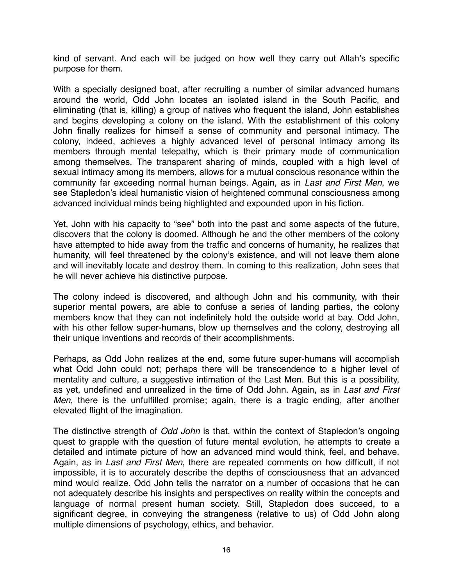kind of servant. And each will be judged on how well they carry out Allah's specific purpose for them.

With a specially designed boat, after recruiting a number of similar advanced humans around the world, Odd John locates an isolated island in the South Pacific, and eliminating (that is, killing) a group of natives who frequent the island, John establishes and begins developing a colony on the island. With the establishment of this colony John finally realizes for himself a sense of community and personal intimacy. The colony, indeed, achieves a highly advanced level of personal intimacy among its members through mental telepathy, which is their primary mode of communication among themselves. The transparent sharing of minds, coupled with a high level of sexual intimacy among its members, allows for a mutual conscious resonance within the community far exceeding normal human beings. Again, as in *Last and First Men*, we see Stapledon's ideal humanistic vision of heightened communal consciousness among advanced individual minds being highlighted and expounded upon in his fiction.

Yet, John with his capacity to "see" both into the past and some aspects of the future, discovers that the colony is doomed. Although he and the other members of the colony have attempted to hide away from the traffic and concerns of humanity, he realizes that humanity, will feel threatened by the colony's existence, and will not leave them alone and will inevitably locate and destroy them. In coming to this realization, John sees that he will never achieve his distinctive purpose.

The colony indeed is discovered, and although John and his community, with their superior mental powers, are able to confuse a series of landing parties, the colony members know that they can not indefinitely hold the outside world at bay. Odd John, with his other fellow super-humans, blow up themselves and the colony, destroying all their unique inventions and records of their accomplishments.

Perhaps, as Odd John realizes at the end, some future super-humans will accomplish what Odd John could not; perhaps there will be transcendence to a higher level of mentality and culture, a suggestive intimation of the Last Men. But this is a possibility, as yet, undefined and unrealized in the time of Odd John. Again, as in *Last and First Men*, there is the unfulfilled promise; again, there is a tragic ending, after another elevated flight of the imagination.

The distinctive strength of *Odd John* is that, within the context of Stapledon's ongoing quest to grapple with the question of future mental evolution, he attempts to create a detailed and intimate picture of how an advanced mind would think, feel, and behave. Again, as in *Last and First Men*, there are repeated comments on how difficult, if not impossible, it is to accurately describe the depths of consciousness that an advanced mind would realize. Odd John tells the narrator on a number of occasions that he can not adequately describe his insights and perspectives on reality within the concepts and language of normal present human society. Still, Stapledon does succeed, to a significant degree, in conveying the strangeness (relative to us) of Odd John along multiple dimensions of psychology, ethics, and behavior.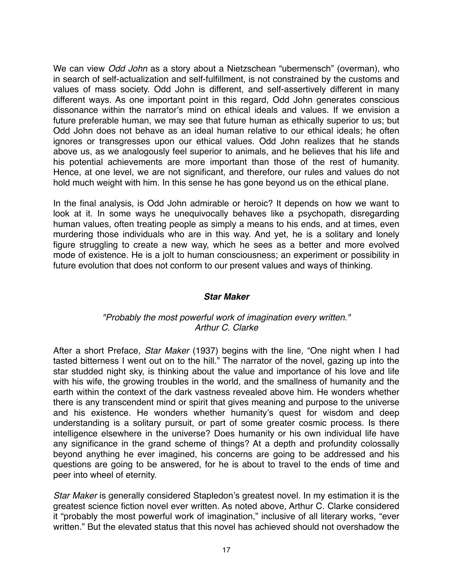We can view *Odd John* as a story about a Nietzschean "ubermensch" (overman), who in search of self-actualization and self-fulfillment, is not constrained by the customs and values of mass society. Odd John is different, and self-assertively different in many different ways. As one important point in this regard, Odd John generates conscious dissonance within the narrator's mind on ethical ideals and values. If we envision a future preferable human, we may see that future human as ethically superior to us; but Odd John does not behave as an ideal human relative to our ethical ideals; he often ignores or transgresses upon our ethical values. Odd John realizes that he stands above us, as we analogously feel superior to animals, and he believes that his life and his potential achievements are more important than those of the rest of humanity. Hence, at one level, we are not significant, and therefore, our rules and values do not hold much weight with him. In this sense he has gone beyond us on the ethical plane.

In the final analysis, is Odd John admirable or heroic? It depends on how we want to look at it. In some ways he unequivocally behaves like a psychopath, disregarding human values, often treating people as simply a means to his ends, and at times, even murdering those individuals who are in this way. And yet, he is a solitary and lonely figure struggling to create a new way, which he sees as a better and more evolved mode of existence. He is a jolt to human consciousness; an experiment or possibility in future evolution that does not conform to our present values and ways of thinking.

#### *Star Maker*

### *"Probably the most powerful work of imagination every written." Arthur C. Clarke*

After a short Preface, *Star Maker* (1937) begins with the line, "One night when I had tasted bitterness I went out on to the hill." The narrator of the novel, gazing up into the star studded night sky, is thinking about the value and importance of his love and life with his wife, the growing troubles in the world, and the smallness of humanity and the earth within the context of the dark vastness revealed above him. He wonders whether there is any transcendent mind or spirit that gives meaning and purpose to the universe and his existence. He wonders whether humanity's quest for wisdom and deep understanding is a solitary pursuit, or part of some greater cosmic process. Is there intelligence elsewhere in the universe? Does humanity or his own individual life have any significance in the grand scheme of things? At a depth and profundity colossally beyond anything he ever imagined, his concerns are going to be addressed and his questions are going to be answered, for he is about to travel to the ends of time and peer into wheel of eternity.

*Star Maker* is generally considered Stapledon's greatest novel. In my estimation it is the greatest science fiction novel ever written. As noted above, Arthur C. Clarke considered it "probably the most powerful work of imagination," inclusive of all literary works, "ever written." But the elevated status that this novel has achieved should not overshadow the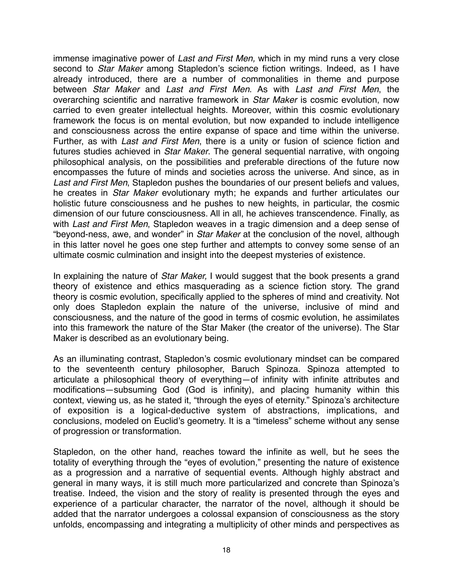immense imaginative power of *Last and First Men,* which in my mind runs a very close second to *Star Maker* among Stapledon's science fiction writings. Indeed, as I have already introduced, there are a number of commonalities in theme and purpose between *Star Maker* and *Last and First Men*. As with *Last and First Men*, the overarching scientific and narrative framework in *Star Maker* is cosmic evolution, now carried to even greater intellectual heights. Moreover, within this cosmic evolutionary framework the focus is on mental evolution, but now expanded to include intelligence and consciousness across the entire expanse of space and time within the universe. Further, as with *Last and First Men*, there is a unity or fusion of science fiction and futures studies achieved in *Star Maker*. The general sequential narrative, with ongoing philosophical analysis, on the possibilities and preferable directions of the future now encompasses the future of minds and societies across the universe. And since, as in *Last and First Men*, Stapledon pushes the boundaries of our present beliefs and values, he creates in *Star Maker* evolutionary myth; he expands and further articulates our holistic future consciousness and he pushes to new heights, in particular, the cosmic dimension of our future consciousness. All in all, he achieves transcendence. Finally, as with *Last and First Men*, Stapledon weaves in a tragic dimension and a deep sense of "beyond-ness, awe, and wonder" in *Star Maker* at the conclusion of the novel, although in this latter novel he goes one step further and attempts to convey some sense of an ultimate cosmic culmination and insight into the deepest mysteries of existence.

In explaining the nature of *Star Maker,* I would suggest that the book presents a grand theory of existence and ethics masquerading as a science fiction story. The grand theory is cosmic evolution, specifically applied to the spheres of mind and creativity. Not only does Stapledon explain the nature of the universe, inclusive of mind and consciousness, and the nature of the good in terms of cosmic evolution, he assimilates into this framework the nature of the Star Maker (the creator of the universe). The Star Maker is described as an evolutionary being.

As an illuminating contrast, Stapledon's cosmic evolutionary mindset can be compared to the seventeenth century philosopher, Baruch Spinoza. Spinoza attempted to articulate a philosophical theory of everything—of infinity with infinite attributes and modifications—subsuming God (God is infinity), and placing humanity within this context, viewing us, as he stated it, "through the eyes of eternity." Spinoza's architecture of exposition is a logical-deductive system of abstractions, implications, and conclusions, modeled on Euclid's geometry. It is a "timeless" scheme without any sense of progression or transformation.

Stapledon, on the other hand, reaches toward the infinite as well, but he sees the totality of everything through the "eyes of evolution," presenting the nature of existence as a progression and a narrative of sequential events. Although highly abstract and general in many ways, it is still much more particularized and concrete than Spinoza's treatise. Indeed, the vision and the story of reality is presented through the eyes and experience of a particular character, the narrator of the novel, although it should be added that the narrator undergoes a colossal expansion of consciousness as the story unfolds, encompassing and integrating a multiplicity of other minds and perspectives as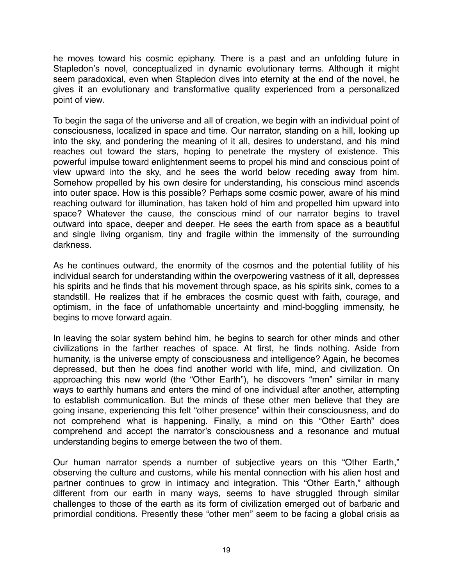he moves toward his cosmic epiphany. There is a past and an unfolding future in Stapledon's novel, conceptualized in dynamic evolutionary terms. Although it might seem paradoxical, even when Stapledon dives into eternity at the end of the novel, he gives it an evolutionary and transformative quality experienced from a personalized point of view.

To begin the saga of the universe and all of creation, we begin with an individual point of consciousness, localized in space and time. Our narrator, standing on a hill, looking up into the sky, and pondering the meaning of it all, desires to understand, and his mind reaches out toward the stars, hoping to penetrate the mystery of existence. This powerful impulse toward enlightenment seems to propel his mind and conscious point of view upward into the sky, and he sees the world below receding away from him. Somehow propelled by his own desire for understanding, his conscious mind ascends into outer space. How is this possible? Perhaps some cosmic power, aware of his mind reaching outward for illumination, has taken hold of him and propelled him upward into space? Whatever the cause, the conscious mind of our narrator begins to travel outward into space, deeper and deeper. He sees the earth from space as a beautiful and single living organism, tiny and fragile within the immensity of the surrounding darkness.

As he continues outward, the enormity of the cosmos and the potential futility of his individual search for understanding within the overpowering vastness of it all, depresses his spirits and he finds that his movement through space, as his spirits sink, comes to a standstill. He realizes that if he embraces the cosmic quest with faith, courage, and optimism, in the face of unfathomable uncertainty and mind-boggling immensity, he begins to move forward again.

In leaving the solar system behind him, he begins to search for other minds and other civilizations in the farther reaches of space. At first, he finds nothing. Aside from humanity, is the universe empty of consciousness and intelligence? Again, he becomes depressed, but then he does find another world with life, mind, and civilization. On approaching this new world (the "Other Earth"), he discovers "men" similar in many ways to earthly humans and enters the mind of one individual after another, attempting to establish communication. But the minds of these other men believe that they are going insane, experiencing this felt "other presence" within their consciousness, and do not comprehend what is happening. Finally, a mind on this "Other Earth" does comprehend and accept the narrator's consciousness and a resonance and mutual understanding begins to emerge between the two of them.

Our human narrator spends a number of subjective years on this "Other Earth," observing the culture and customs, while his mental connection with his alien host and partner continues to grow in intimacy and integration. This "Other Earth," although different from our earth in many ways, seems to have struggled through similar challenges to those of the earth as its form of civilization emerged out of barbaric and primordial conditions. Presently these "other men" seem to be facing a global crisis as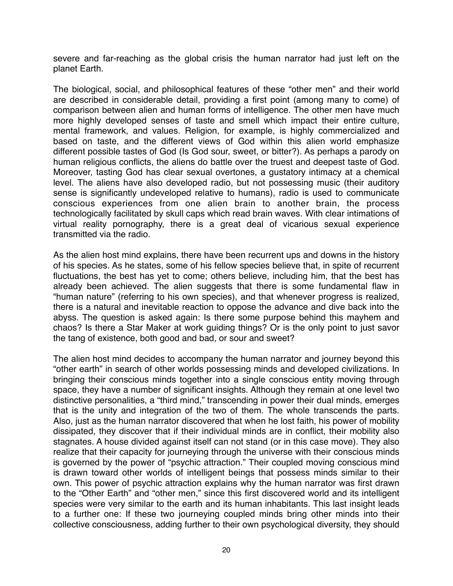severe and far-reaching as the global crisis the human narrator had just left on the planet Earth.

The biological, social, and philosophical features of these "other men" and their world are described in considerable detail, providing a first point (among many to come) of comparison between alien and human forms of intelligence. The other men have much more highly developed senses of taste and smell which impact their entire culture, mental framework, and values. Religion, for example, is highly commercialized and based on taste, and the different views of God within this alien world emphasize different possible tastes of God (Is God sour, sweet, or bitter?). As perhaps a parody on human religious conflicts, the aliens do battle over the truest and deepest taste of God. Moreover, tasting God has clear sexual overtones, a gustatory intimacy at a chemical level. The aliens have also developed radio, but not possessing music (their auditory sense is significantly undeveloped relative to humans), radio is used to communicate conscious experiences from one alien brain to another brain, the process technologically facilitated by skull caps which read brain waves. With clear intimations of virtual reality pornography, there is a great deal of vicarious sexual experience transmitted via the radio.

As the alien host mind explains, there have been recurrent ups and downs in the history of his species. As he states, some of his fellow species believe that, in spite of recurrent fluctuations, the best has yet to come; others believe, including him, that the best has already been achieved. The alien suggests that there is some fundamental flaw in "human nature" (referring to his own species), and that whenever progress is realized, there is a natural and inevitable reaction to oppose the advance and dive back into the abyss. The question is asked again: Is there some purpose behind this mayhem and chaos? Is there a Star Maker at work guiding things? Or is the only point to just savor the tang of existence, both good and bad, or sour and sweet?

The alien host mind decides to accompany the human narrator and journey beyond this "other earth" in search of other worlds possessing minds and developed civilizations. In bringing their conscious minds together into a single conscious entity moving through space, they have a number of significant insights. Although they remain at one level two distinctive personalities, a "third mind," transcending in power their dual minds, emerges that is the unity and integration of the two of them. The whole transcends the parts. Also, just as the human narrator discovered that when he lost faith, his power of mobility dissipated, they discover that if their individual minds are in conflict, their mobility also stagnates. A house divided against itself can not stand (or in this case move). They also realize that their capacity for journeying through the universe with their conscious minds is governed by the power of "psychic attraction." Their coupled moving conscious mind is drawn toward other worlds of intelligent beings that possess minds similar to their own. This power of psychic attraction explains why the human narrator was first drawn to the "Other Earth" and "other men," since this first discovered world and its intelligent species were very similar to the earth and its human inhabitants. This last insight leads to a further one: If these two journeying coupled minds bring other minds into their collective consciousness, adding further to their own psychological diversity, they should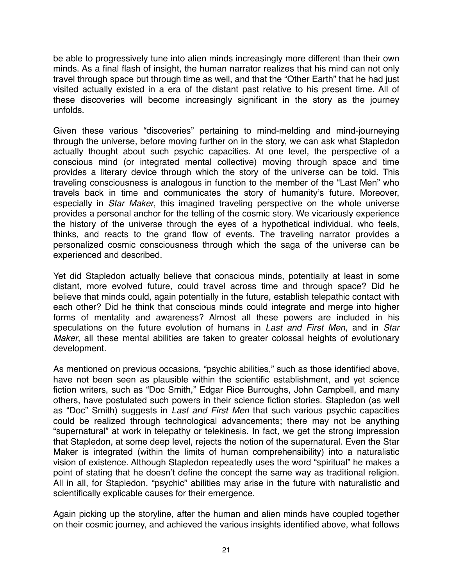be able to progressively tune into alien minds increasingly more different than their own minds. As a final flash of insight, the human narrator realizes that his mind can not only travel through space but through time as well, and that the "Other Earth" that he had just visited actually existed in a era of the distant past relative to his present time. All of these discoveries will become increasingly significant in the story as the journey unfolds.

Given these various "discoveries" pertaining to mind-melding and mind-journeying through the universe, before moving further on in the story, we can ask what Stapledon actually thought about such psychic capacities. At one level, the perspective of a conscious mind (or integrated mental collective) moving through space and time provides a literary device through which the story of the universe can be told. This traveling consciousness is analogous in function to the member of the "Last Men" who travels back in time and communicates the story of humanity's future. Moreover, especially in *Star Maker*, this imagined traveling perspective on the whole universe provides a personal anchor for the telling of the cosmic story. We vicariously experience the history of the universe through the eyes of a hypothetical individual, who feels, thinks, and reacts to the grand flow of events. The traveling narrator provides a personalized cosmic consciousness through which the saga of the universe can be experienced and described.

Yet did Stapledon actually believe that conscious minds, potentially at least in some distant, more evolved future, could travel across time and through space? Did he believe that minds could, again potentially in the future, establish telepathic contact with each other? Did he think that conscious minds could integrate and merge into higher forms of mentality and awareness? Almost all these powers are included in his speculations on the future evolution of humans in *Last and First Men*, and in *Star Maker*, all these mental abilities are taken to greater colossal heights of evolutionary development.

As mentioned on previous occasions, "psychic abilities," such as those identified above, have not been seen as plausible within the scientific establishment, and yet science fiction writers, such as "Doc Smith," Edgar Rice Burroughs, John Campbell, and many others, have postulated such powers in their science fiction stories. Stapledon (as well as "Doc" Smith) suggests in *Last and First Men* that such various psychic capacities could be realized through technological advancements; there may not be anything "supernatural" at work in telepathy or telekinesis. In fact, we get the strong impression that Stapledon, at some deep level, rejects the notion of the supernatural. Even the Star Maker is integrated (within the limits of human comprehensibility) into a naturalistic vision of existence. Although Stapledon repeatedly uses the word "spiritual" he makes a point of stating that he doesn't define the concept the same way as traditional religion. All in all, for Stapledon, "psychic" abilities may arise in the future with naturalistic and scientifically explicable causes for their emergence.

Again picking up the storyline, after the human and alien minds have coupled together on their cosmic journey, and achieved the various insights identified above, what follows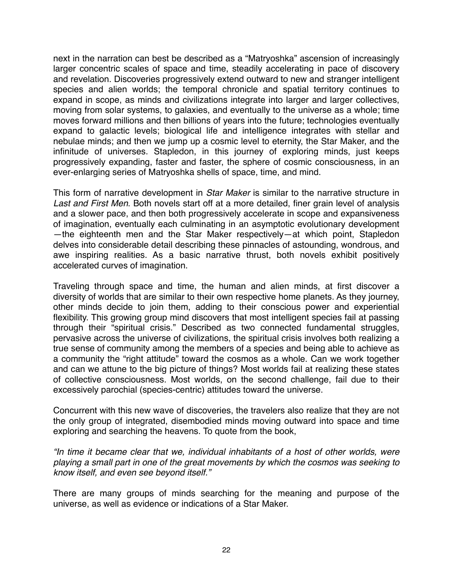next in the narration can best be described as a "Matryoshka" ascension of increasingly larger concentric scales of space and time, steadily accelerating in pace of discovery and revelation. Discoveries progressively extend outward to new and stranger intelligent species and alien worlds; the temporal chronicle and spatial territory continues to expand in scope, as minds and civilizations integrate into larger and larger collectives, moving from solar systems, to galaxies, and eventually to the universe as a whole; time moves forward millions and then billions of years into the future; technologies eventually expand to galactic levels; biological life and intelligence integrates with stellar and nebulae minds; and then we jump up a cosmic level to eternity, the Star Maker, and the infinitude of universes. Stapledon, in this journey of exploring minds, just keeps progressively expanding, faster and faster, the sphere of cosmic consciousness, in an ever-enlarging series of Matryoshka shells of space, time, and mind.

This form of narrative development in *Star Maker* is similar to the narrative structure in *Last and First Men*. Both novels start off at a more detailed, finer grain level of analysis and a slower pace, and then both progressively accelerate in scope and expansiveness of imagination, eventually each culminating in an asymptotic evolutionary development —the eighteenth men and the Star Maker respectively—at which point, Stapledon delves into considerable detail describing these pinnacles of astounding, wondrous, and awe inspiring realities. As a basic narrative thrust, both novels exhibit positively accelerated curves of imagination.

Traveling through space and time, the human and alien minds, at first discover a diversity of worlds that are similar to their own respective home planets. As they journey, other minds decide to join them, adding to their conscious power and experiential flexibility. This growing group mind discovers that most intelligent species fail at passing through their "spiritual crisis." Described as two connected fundamental struggles, pervasive across the universe of civilizations, the spiritual crisis involves both realizing a true sense of community among the members of a species and being able to achieve as a community the "right attitude" toward the cosmos as a whole. Can we work together and can we attune to the big picture of things? Most worlds fail at realizing these states of collective consciousness. Most worlds, on the second challenge, fail due to their excessively parochial (species-centric) attitudes toward the universe.

Concurrent with this new wave of discoveries, the travelers also realize that they are not the only group of integrated, disembodied minds moving outward into space and time exploring and searching the heavens. To quote from the book,

*"In time it became clear that we, individual inhabitants of a host of other worlds, were playing a small part in one of the great movements by which the cosmos was seeking to know itself, and even see beyond itself."*

There are many groups of minds searching for the meaning and purpose of the universe, as well as evidence or indications of a Star Maker.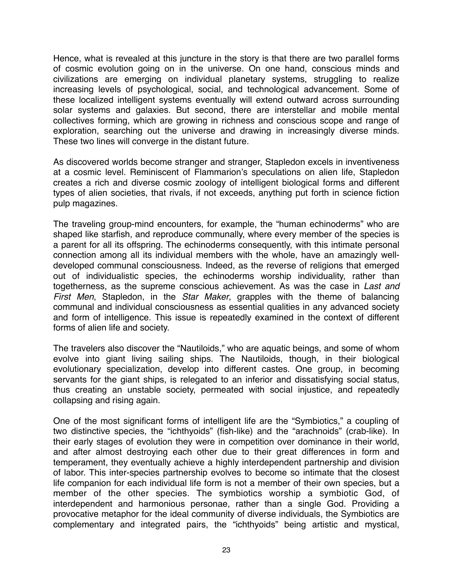Hence, what is revealed at this juncture in the story is that there are two parallel forms of cosmic evolution going on in the universe. On one hand, conscious minds and civilizations are emerging on individual planetary systems, struggling to realize increasing levels of psychological, social, and technological advancement. Some of these localized intelligent systems eventually will extend outward across surrounding solar systems and galaxies. But second, there are interstellar and mobile mental collectives forming, which are growing in richness and conscious scope and range of exploration, searching out the universe and drawing in increasingly diverse minds. These two lines will converge in the distant future.

As discovered worlds become stranger and stranger, Stapledon excels in inventiveness at a cosmic level. Reminiscent of Flammarion's speculations on alien life, Stapledon creates a rich and diverse cosmic zoology of intelligent biological forms and different types of alien societies, that rivals, if not exceeds, anything put forth in science fiction pulp magazines.

The traveling group-mind encounters, for example, the "human echinoderms" who are shaped like starfish, and reproduce communally, where every member of the species is a parent for all its offspring. The echinoderms consequently, with this intimate personal connection among all its individual members with the whole, have an amazingly welldeveloped communal consciousness. Indeed, as the reverse of religions that emerged out of individualistic species, the echinoderms worship individuality, rather than togetherness, as the supreme conscious achievement. As was the case in *Last and First Men*, Stapledon, in the *Star Maker*, grapples with the theme of balancing communal and individual consciousness as essential qualities in any advanced society and form of intelligence. This issue is repeatedly examined in the context of different forms of alien life and society.

The travelers also discover the "Nautiloids," who are aquatic beings, and some of whom evolve into giant living sailing ships. The Nautiloids, though, in their biological evolutionary specialization, develop into different castes. One group, in becoming servants for the giant ships, is relegated to an inferior and dissatisfying social status, thus creating an unstable society, permeated with social injustice, and repeatedly collapsing and rising again.

One of the most significant forms of intelligent life are the "Symbiotics," a coupling of two distinctive species, the "ichthyoids" (fish-like) and the "arachnoids" (crab-like). In their early stages of evolution they were in competition over dominance in their world, and after almost destroying each other due to their great differences in form and temperament, they eventually achieve a highly interdependent partnership and division of labor. This inter-species partnership evolves to become so intimate that the closest life companion for each individual life form is not a member of their own species, but a member of the other species. The symbiotics worship a symbiotic God, of interdependent and harmonious personae, rather than a single God. Providing a provocative metaphor for the ideal community of diverse individuals, the Symbiotics are complementary and integrated pairs, the "ichthyoids" being artistic and mystical,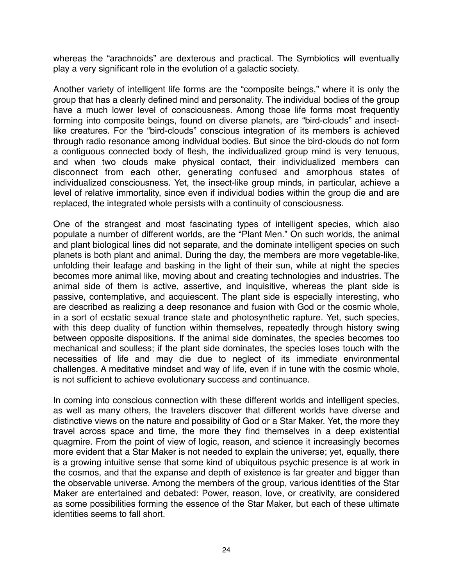whereas the "arachnoids" are dexterous and practical. The Symbiotics will eventually play a very significant role in the evolution of a galactic society.

Another variety of intelligent life forms are the "composite beings," where it is only the group that has a clearly defined mind and personality. The individual bodies of the group have a much lower level of consciousness. Among those life forms most frequently forming into composite beings, found on diverse planets, are "bird-clouds" and insectlike creatures. For the "bird-clouds" conscious integration of its members is achieved through radio resonance among individual bodies. But since the bird-clouds do not form a contiguous connected body of flesh, the individualized group mind is very tenuous, and when two clouds make physical contact, their individualized members can disconnect from each other, generating confused and amorphous states of individualized consciousness. Yet, the insect-like group minds, in particular, achieve a level of relative immortality, since even if individual bodies within the group die and are replaced, the integrated whole persists with a continuity of consciousness.

One of the strangest and most fascinating types of intelligent species, which also populate a number of different worlds, are the "Plant Men." On such worlds, the animal and plant biological lines did not separate, and the dominate intelligent species on such planets is both plant and animal. During the day, the members are more vegetable-like, unfolding their leafage and basking in the light of their sun, while at night the species becomes more animal like, moving about and creating technologies and industries. The animal side of them is active, assertive, and inquisitive, whereas the plant side is passive, contemplative, and acquiescent. The plant side is especially interesting, who are described as realizing a deep resonance and fusion with God or the cosmic whole, in a sort of ecstatic sexual trance state and photosynthetic rapture. Yet, such species, with this deep duality of function within themselves, repeatedly through history swing between opposite dispositions. If the animal side dominates, the species becomes too mechanical and soulless; if the plant side dominates, the species loses touch with the necessities of life and may die due to neglect of its immediate environmental challenges. A meditative mindset and way of life, even if in tune with the cosmic whole, is not sufficient to achieve evolutionary success and continuance.

In coming into conscious connection with these different worlds and intelligent species, as well as many others, the travelers discover that different worlds have diverse and distinctive views on the nature and possibility of God or a Star Maker. Yet, the more they travel across space and time, the more they find themselves in a deep existential quagmire. From the point of view of logic, reason, and science it increasingly becomes more evident that a Star Maker is not needed to explain the universe; yet, equally, there is a growing intuitive sense that some kind of ubiquitous psychic presence is at work in the cosmos, and that the expanse and depth of existence is far greater and bigger than the observable universe. Among the members of the group, various identities of the Star Maker are entertained and debated: Power, reason, love, or creativity, are considered as some possibilities forming the essence of the Star Maker, but each of these ultimate identities seems to fall short.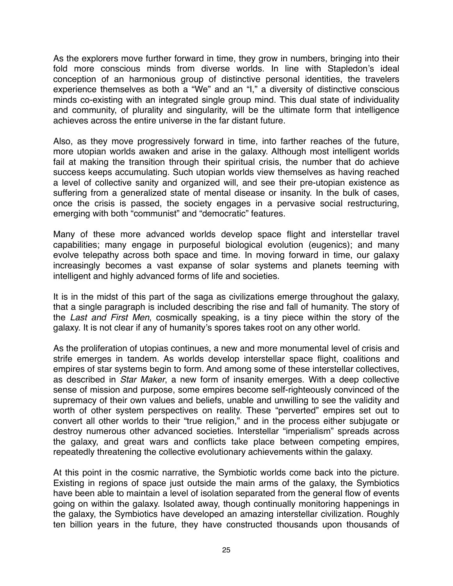As the explorers move further forward in time, they grow in numbers, bringing into their fold more conscious minds from diverse worlds. In line with Stapledon's ideal conception of an harmonious group of distinctive personal identities, the travelers experience themselves as both a "We" and an "I," a diversity of distinctive conscious minds co-existing with an integrated single group mind. This dual state of individuality and community, of plurality and singularity, will be the ultimate form that intelligence achieves across the entire universe in the far distant future.

Also, as they move progressively forward in time, into farther reaches of the future, more utopian worlds awaken and arise in the galaxy. Although most intelligent worlds fail at making the transition through their spiritual crisis, the number that do achieve success keeps accumulating. Such utopian worlds view themselves as having reached a level of collective sanity and organized will, and see their pre-utopian existence as suffering from a generalized state of mental disease or insanity. In the bulk of cases, once the crisis is passed, the society engages in a pervasive social restructuring, emerging with both "communist" and "democratic" features.

Many of these more advanced worlds develop space flight and interstellar travel capabilities; many engage in purposeful biological evolution (eugenics); and many evolve telepathy across both space and time. In moving forward in time, our galaxy increasingly becomes a vast expanse of solar systems and planets teeming with intelligent and highly advanced forms of life and societies.

It is in the midst of this part of the saga as civilizations emerge throughout the galaxy, that a single paragraph is included describing the rise and fall of humanity. The story of the *Last and First Men*, cosmically speaking, is a tiny piece within the story of the galaxy. It is not clear if any of humanity's spores takes root on any other world.

As the proliferation of utopias continues, a new and more monumental level of crisis and strife emerges in tandem. As worlds develop interstellar space flight, coalitions and empires of star systems begin to form. And among some of these interstellar collectives, as described in *Star Maker*, a new form of insanity emerges. With a deep collective sense of mission and purpose, some empires become self-righteously convinced of the supremacy of their own values and beliefs, unable and unwilling to see the validity and worth of other system perspectives on reality. These "perverted" empires set out to convert all other worlds to their "true religion," and in the process either subjugate or destroy numerous other advanced societies. Interstellar "imperialism" spreads across the galaxy, and great wars and conflicts take place between competing empires, repeatedly threatening the collective evolutionary achievements within the galaxy.

At this point in the cosmic narrative, the Symbiotic worlds come back into the picture. Existing in regions of space just outside the main arms of the galaxy, the Symbiotics have been able to maintain a level of isolation separated from the general flow of events going on within the galaxy. Isolated away, though continually monitoring happenings in the galaxy, the Symbiotics have developed an amazing interstellar civilization. Roughly ten billion years in the future, they have constructed thousands upon thousands of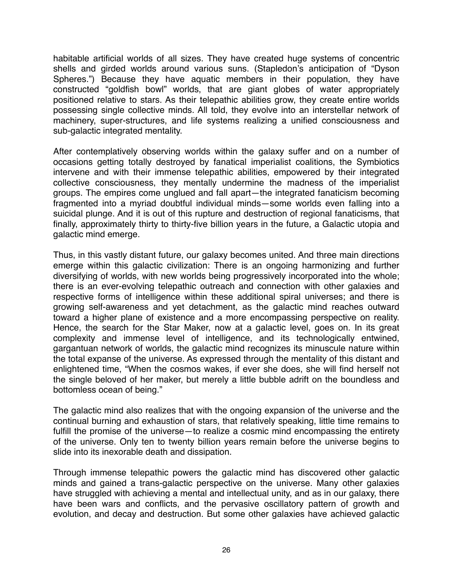habitable artificial worlds of all sizes. They have created huge systems of concentric shells and girded worlds around various suns. (Stapledon's anticipation of "Dyson Spheres.") Because they have aquatic members in their population, they have constructed "goldfish bowl" worlds, that are giant globes of water appropriately positioned relative to stars. As their telepathic abilities grow, they create entire worlds possessing single collective minds. All told, they evolve into an interstellar network of machinery, super-structures, and life systems realizing a unified consciousness and sub-galactic integrated mentality.

After contemplatively observing worlds within the galaxy suffer and on a number of occasions getting totally destroyed by fanatical imperialist coalitions, the Symbiotics intervene and with their immense telepathic abilities, empowered by their integrated collective consciousness, they mentally undermine the madness of the imperialist groups. The empires come unglued and fall apart—the integrated fanaticism becoming fragmented into a myriad doubtful individual minds—some worlds even falling into a suicidal plunge. And it is out of this rupture and destruction of regional fanaticisms, that finally, approximately thirty to thirty-five billion years in the future, a Galactic utopia and galactic mind emerge.

Thus, in this vastly distant future, our galaxy becomes united. And three main directions emerge within this galactic civilization: There is an ongoing harmonizing and further diversifying of worlds, with new worlds being progressively incorporated into the whole; there is an ever-evolving telepathic outreach and connection with other galaxies and respective forms of intelligence within these additional spiral universes; and there is growing self-awareness and yet detachment, as the galactic mind reaches outward toward a higher plane of existence and a more encompassing perspective on reality. Hence, the search for the Star Maker, now at a galactic level, goes on. In its great complexity and immense level of intelligence, and its technologically entwined, gargantuan network of worlds, the galactic mind recognizes its minuscule nature within the total expanse of the universe. As expressed through the mentality of this distant and enlightened time, "When the cosmos wakes, if ever she does, she will find herself not the single beloved of her maker, but merely a little bubble adrift on the boundless and bottomless ocean of being."

The galactic mind also realizes that with the ongoing expansion of the universe and the continual burning and exhaustion of stars, that relatively speaking, little time remains to fulfill the promise of the universe—to realize a cosmic mind encompassing the entirety of the universe. Only ten to twenty billion years remain before the universe begins to slide into its inexorable death and dissipation.

Through immense telepathic powers the galactic mind has discovered other galactic minds and gained a trans-galactic perspective on the universe. Many other galaxies have struggled with achieving a mental and intellectual unity, and as in our galaxy, there have been wars and conflicts, and the pervasive oscillatory pattern of growth and evolution, and decay and destruction. But some other galaxies have achieved galactic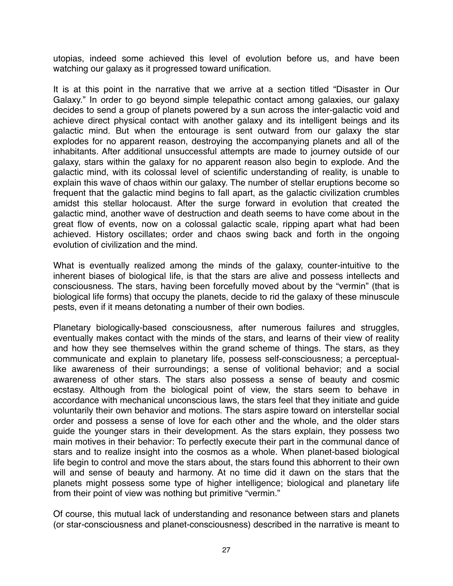utopias, indeed some achieved this level of evolution before us, and have been watching our galaxy as it progressed toward unification.

It is at this point in the narrative that we arrive at a section titled "Disaster in Our Galaxy." In order to go beyond simple telepathic contact among galaxies, our galaxy decides to send a group of planets powered by a sun across the inter-galactic void and achieve direct physical contact with another galaxy and its intelligent beings and its galactic mind. But when the entourage is sent outward from our galaxy the star explodes for no apparent reason, destroying the accompanying planets and all of the inhabitants. After additional unsuccessful attempts are made to journey outside of our galaxy, stars within the galaxy for no apparent reason also begin to explode. And the galactic mind, with its colossal level of scientific understanding of reality, is unable to explain this wave of chaos within our galaxy. The number of stellar eruptions become so frequent that the galactic mind begins to fall apart, as the galactic civilization crumbles amidst this stellar holocaust. After the surge forward in evolution that created the galactic mind, another wave of destruction and death seems to have come about in the great flow of events, now on a colossal galactic scale, ripping apart what had been achieved. History oscillates; order and chaos swing back and forth in the ongoing evolution of civilization and the mind.

What is eventually realized among the minds of the galaxy, counter-intuitive to the inherent biases of biological life, is that the stars are alive and possess intellects and consciousness. The stars, having been forcefully moved about by the "vermin" (that is biological life forms) that occupy the planets, decide to rid the galaxy of these minuscule pests, even if it means detonating a number of their own bodies.

Planetary biologically-based consciousness, after numerous failures and struggles, eventually makes contact with the minds of the stars, and learns of their view of reality and how they see themselves within the grand scheme of things. The stars, as they communicate and explain to planetary life, possess self-consciousness; a perceptuallike awareness of their surroundings; a sense of volitional behavior; and a social awareness of other stars. The stars also possess a sense of beauty and cosmic ecstasy. Although from the biological point of view, the stars seem to behave in accordance with mechanical unconscious laws, the stars feel that they initiate and guide voluntarily their own behavior and motions. The stars aspire toward on interstellar social order and possess a sense of love for each other and the whole, and the older stars guide the younger stars in their development. As the stars explain, they possess two main motives in their behavior: To perfectly execute their part in the communal dance of stars and to realize insight into the cosmos as a whole. When planet-based biological life begin to control and move the stars about, the stars found this abhorrent to their own will and sense of beauty and harmony. At no time did it dawn on the stars that the planets might possess some type of higher intelligence; biological and planetary life from their point of view was nothing but primitive "vermin."

Of course, this mutual lack of understanding and resonance between stars and planets (or star-consciousness and planet-consciousness) described in the narrative is meant to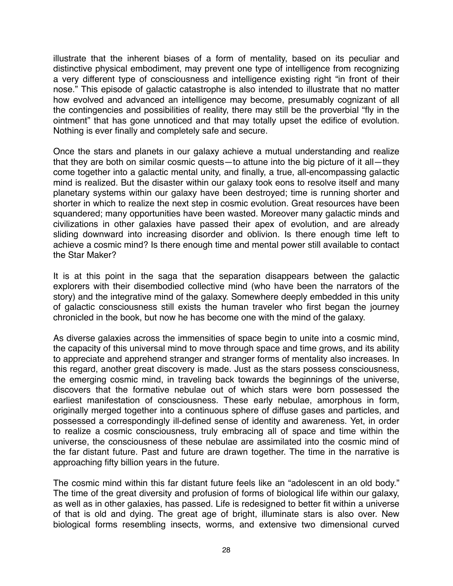illustrate that the inherent biases of a form of mentality, based on its peculiar and distinctive physical embodiment, may prevent one type of intelligence from recognizing a very different type of consciousness and intelligence existing right "in front of their nose." This episode of galactic catastrophe is also intended to illustrate that no matter how evolved and advanced an intelligence may become, presumably cognizant of all the contingencies and possibilities of reality, there may still be the proverbial "fly in the ointment" that has gone unnoticed and that may totally upset the edifice of evolution. Nothing is ever finally and completely safe and secure.

Once the stars and planets in our galaxy achieve a mutual understanding and realize that they are both on similar cosmic quests—to attune into the big picture of it all—they come together into a galactic mental unity, and finally, a true, all-encompassing galactic mind is realized. But the disaster within our galaxy took eons to resolve itself and many planetary systems within our galaxy have been destroyed; time is running shorter and shorter in which to realize the next step in cosmic evolution. Great resources have been squandered; many opportunities have been wasted. Moreover many galactic minds and civilizations in other galaxies have passed their apex of evolution, and are already sliding downward into increasing disorder and oblivion. Is there enough time left to achieve a cosmic mind? Is there enough time and mental power still available to contact the Star Maker?

It is at this point in the saga that the separation disappears between the galactic explorers with their disembodied collective mind (who have been the narrators of the story) and the integrative mind of the galaxy. Somewhere deeply embedded in this unity of galactic consciousness still exists the human traveler who first began the journey chronicled in the book, but now he has become one with the mind of the galaxy.

As diverse galaxies across the immensities of space begin to unite into a cosmic mind, the capacity of this universal mind to move through space and time grows, and its ability to appreciate and apprehend stranger and stranger forms of mentality also increases. In this regard, another great discovery is made. Just as the stars possess consciousness, the emerging cosmic mind, in traveling back towards the beginnings of the universe, discovers that the formative nebulae out of which stars were born possessed the earliest manifestation of consciousness. These early nebulae, amorphous in form, originally merged together into a continuous sphere of diffuse gases and particles, and possessed a correspondingly ill-defined sense of identity and awareness. Yet, in order to realize a cosmic consciousness, truly embracing all of space and time within the universe, the consciousness of these nebulae are assimilated into the cosmic mind of the far distant future. Past and future are drawn together. The time in the narrative is approaching fifty billion years in the future.

The cosmic mind within this far distant future feels like an "adolescent in an old body." The time of the great diversity and profusion of forms of biological life within our galaxy, as well as in other galaxies, has passed. Life is redesigned to better fit within a universe of that is old and dying. The great age of bright, illuminate stars is also over. New biological forms resembling insects, worms, and extensive two dimensional curved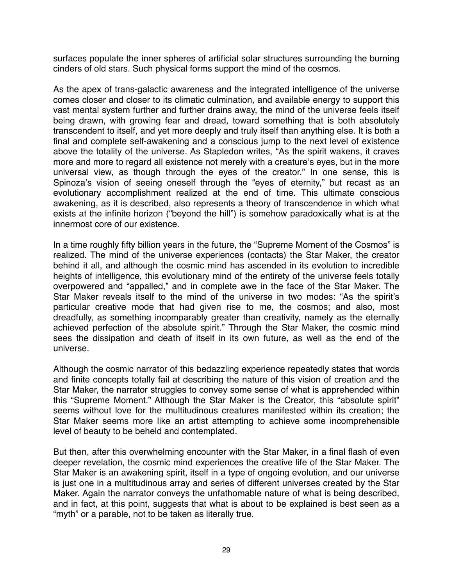surfaces populate the inner spheres of artificial solar structures surrounding the burning cinders of old stars. Such physical forms support the mind of the cosmos.

As the apex of trans-galactic awareness and the integrated intelligence of the universe comes closer and closer to its climatic culmination, and available energy to support this vast mental system further and further drains away, the mind of the universe feels itself being drawn, with growing fear and dread, toward something that is both absolutely transcendent to itself, and yet more deeply and truly itself than anything else. It is both a final and complete self-awakening and a conscious jump to the next level of existence above the totality of the universe. As Stapledon writes, "As the spirit wakens, it craves more and more to regard all existence not merely with a creature's eyes, but in the more universal view, as though through the eyes of the creator." In one sense, this is Spinoza's vision of seeing oneself through the "eyes of eternity," but recast as an evolutionary accomplishment realized at the end of time. This ultimate conscious awakening, as it is described, also represents a theory of transcendence in which what exists at the infinite horizon ("beyond the hill") is somehow paradoxically what is at the innermost core of our existence.

In a time roughly fifty billion years in the future, the "Supreme Moment of the Cosmos" is realized. The mind of the universe experiences (contacts) the Star Maker, the creator behind it all, and although the cosmic mind has ascended in its evolution to incredible heights of intelligence, this evolutionary mind of the entirety of the universe feels totally overpowered and "appalled," and in complete awe in the face of the Star Maker. The Star Maker reveals itself to the mind of the universe in two modes: "As the spirit's particular creative mode that had given rise to me, the cosmos; and also, most dreadfully, as something incomparably greater than creativity, namely as the eternally achieved perfection of the absolute spirit." Through the Star Maker, the cosmic mind sees the dissipation and death of itself in its own future, as well as the end of the universe.

Although the cosmic narrator of this bedazzling experience repeatedly states that words and finite concepts totally fail at describing the nature of this vision of creation and the Star Maker, the narrator struggles to convey some sense of what is apprehended within this "Supreme Moment." Although the Star Maker is the Creator, this "absolute spirit" seems without love for the multitudinous creatures manifested within its creation; the Star Maker seems more like an artist attempting to achieve some incomprehensible level of beauty to be beheld and contemplated.

But then, after this overwhelming encounter with the Star Maker, in a final flash of even deeper revelation, the cosmic mind experiences the creative life of the Star Maker. The Star Maker is an awakening spirit, itself in a type of ongoing evolution, and our universe is just one in a multitudinous array and series of different universes created by the Star Maker. Again the narrator conveys the unfathomable nature of what is being described, and in fact, at this point, suggests that what is about to be explained is best seen as a "myth" or a parable, not to be taken as literally true.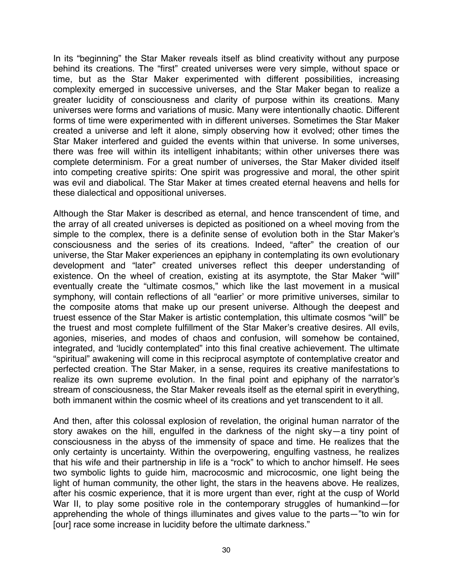In its "beginning" the Star Maker reveals itself as blind creativity without any purpose behind its creations. The "first" created universes were very simple, without space or time, but as the Star Maker experimented with different possibilities, increasing complexity emerged in successive universes, and the Star Maker began to realize a greater lucidity of consciousness and clarity of purpose within its creations. Many universes were forms and variations of music. Many were intentionally chaotic. Different forms of time were experimented with in different universes. Sometimes the Star Maker created a universe and left it alone, simply observing how it evolved; other times the Star Maker interfered and guided the events within that universe. In some universes, there was free will within its intelligent inhabitants; within other universes there was complete determinism. For a great number of universes, the Star Maker divided itself into competing creative spirits: One spirit was progressive and moral, the other spirit was evil and diabolical. The Star Maker at times created eternal heavens and hells for these dialectical and oppositional universes.

Although the Star Maker is described as eternal, and hence transcendent of time, and the array of all created universes is depicted as positioned on a wheel moving from the simple to the complex, there is a definite sense of evolution both in the Star Maker's consciousness and the series of its creations. Indeed, "after" the creation of our universe, the Star Maker experiences an epiphany in contemplating its own evolutionary development and "later" created universes reflect this deeper understanding of existence. On the wheel of creation, existing at its asymptote, the Star Maker "will" eventually create the "ultimate cosmos," which like the last movement in a musical symphony, will contain reflections of all "earlier' or more primitive universes, similar to the composite atoms that make up our present universe. Although the deepest and truest essence of the Star Maker is artistic contemplation, this ultimate cosmos "will" be the truest and most complete fulfillment of the Star Maker's creative desires. All evils, agonies, miseries, and modes of chaos and confusion, will somehow be contained, integrated, and ʻlucidly contemplated" into this final creative achievement. The ultimate "spiritual" awakening will come in this reciprocal asymptote of contemplative creator and perfected creation. The Star Maker, in a sense, requires its creative manifestations to realize its own supreme evolution. In the final point and epiphany of the narrator's stream of consciousness, the Star Maker reveals itself as the eternal spirit in everything, both immanent within the cosmic wheel of its creations and yet transcendent to it all.

And then, after this colossal explosion of revelation, the original human narrator of the story awakes on the hill, engulfed in the darkness of the night sky—a tiny point of consciousness in the abyss of the immensity of space and time. He realizes that the only certainty is uncertainty. Within the overpowering, engulfing vastness, he realizes that his wife and their partnership in life is a "rock" to which to anchor himself. He sees two symbolic lights to guide him, macrocosmic and microcosmic, one light being the light of human community, the other light, the stars in the heavens above. He realizes, after his cosmic experience, that it is more urgent than ever, right at the cusp of World War II, to play some positive role in the contemporary struggles of humankind–for apprehending the whole of things illuminates and gives value to the parts—"to win for [our] race some increase in lucidity before the ultimate darkness."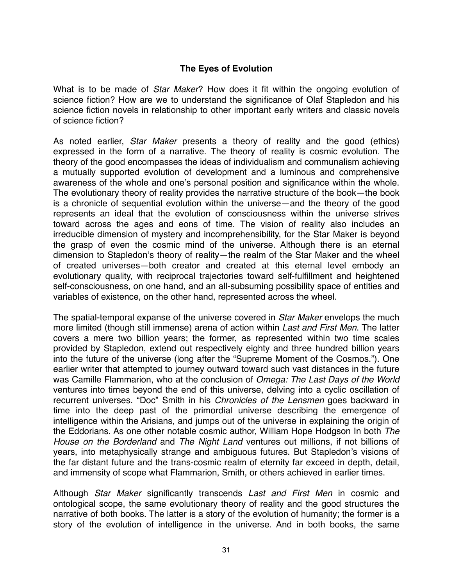### **The Eyes of Evolution**

What is to be made of *Star Maker*? How does it fit within the ongoing evolution of science fiction? How are we to understand the significance of Olaf Stapledon and his science fiction novels in relationship to other important early writers and classic novels of science fiction?

As noted earlier, *Star Maker* presents a theory of reality and the good (ethics) expressed in the form of a narrative. The theory of reality is cosmic evolution. The theory of the good encompasses the ideas of individualism and communalism achieving a mutually supported evolution of development and a luminous and comprehensive awareness of the whole and one's personal position and significance within the whole. The evolutionary theory of reality provides the narrative structure of the book—the book is a chronicle of sequential evolution within the universe—and the theory of the good represents an ideal that the evolution of consciousness within the universe strives toward across the ages and eons of time. The vision of reality also includes an irreducible dimension of mystery and incomprehensibility, for the Star Maker is beyond the grasp of even the cosmic mind of the universe. Although there is an eternal dimension to Stapledon's theory of reality—the realm of the Star Maker and the wheel of created universes—both creator and created at this eternal level embody an evolutionary quality, with reciprocal trajectories toward self-fulfillment and heightened self-consciousness, on one hand, and an all-subsuming possibility space of entities and variables of existence, on the other hand, represented across the wheel.

The spatial-temporal expanse of the universe covered in *Star Maker* envelops the much more limited (though still immense) arena of action within *Last and First Men*. The latter covers a mere two billion years; the former, as represented within two time scales provided by Stapledon, extend out respectively eighty and three hundred billion years into the future of the universe (long after the "Supreme Moment of the Cosmos."). One earlier writer that attempted to journey outward toward such vast distances in the future was Camille Flammarion, who at the conclusion of *Omega: The Last Days of the World*  ventures into times beyond the end of this universe, delving into a cyclic oscillation of recurrent universes. "Doc" Smith in his *Chronicles of the Lensmen* goes backward in time into the deep past of the primordial universe describing the emergence of intelligence within the Arisians, and jumps out of the universe in explaining the origin of the Eddorians. As one other notable cosmic author, William Hope Hodgson In both *The House on the Borderland* and *The Night Land* ventures out millions, if not billions of years, into metaphysically strange and ambiguous futures. But Stapledon's visions of the far distant future and the trans-cosmic realm of eternity far exceed in depth, detail, and immensity of scope what Flammarion, Smith, or others achieved in earlier times.

Although *Star Maker* significantly transcends *Last and First Men* in cosmic and ontological scope, the same evolutionary theory of reality and the good structures the narrative of both books. The latter is a story of the evolution of humanity; the former is a story of the evolution of intelligence in the universe. And in both books, the same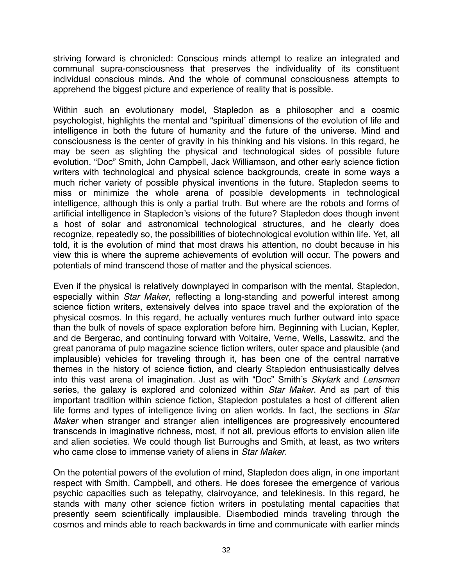striving forward is chronicled: Conscious minds attempt to realize an integrated and communal supra-consciousness that preserves the individuality of its constituent individual conscious minds. And the whole of communal consciousness attempts to apprehend the biggest picture and experience of reality that is possible.

Within such an evolutionary model, Stapledon as a philosopher and a cosmic psychologist, highlights the mental and "spiritual' dimensions of the evolution of life and intelligence in both the future of humanity and the future of the universe. Mind and consciousness is the center of gravity in his thinking and his visions. In this regard, he may be seen as slighting the physical and technological sides of possible future evolution. "Doc" Smith, John Campbell, Jack Williamson, and other early science fiction writers with technological and physical science backgrounds, create in some ways a much richer variety of possible physical inventions in the future. Stapledon seems to miss or minimize the whole arena of possible developments in technological intelligence, although this is only a partial truth. But where are the robots and forms of artificial intelligence in Stapledon's visions of the future? Stapledon does though invent a host of solar and astronomical technological structures, and he clearly does recognize, repeatedly so, the possibilities of biotechnological evolution within life. Yet, all told, it is the evolution of mind that most draws his attention, no doubt because in his view this is where the supreme achievements of evolution will occur. The powers and potentials of mind transcend those of matter and the physical sciences.

Even if the physical is relatively downplayed in comparison with the mental, Stapledon, especially within *Star Maker*, reflecting a long-standing and powerful interest among science fiction writers, extensively delves into space travel and the exploration of the physical cosmos. In this regard, he actually ventures much further outward into space than the bulk of novels of space exploration before him. Beginning with Lucian, Kepler, and de Bergerac, and continuing forward with Voltaire, Verne, Wells, Lasswitz, and the great panorama of pulp magazine science fiction writers, outer space and plausible (and implausible) vehicles for traveling through it, has been one of the central narrative themes in the history of science fiction, and clearly Stapledon enthusiastically delves into this vast arena of imagination. Just as with "Doc" Smith's *Skylark* and *Lensmen*  series, the galaxy is explored and colonized within *Star Maker*. And as part of this important tradition within science fiction, Stapledon postulates a host of different alien life forms and types of intelligence living on alien worlds. In fact, the sections in *Star Maker* when stranger and stranger alien intelligences are progressively encountered transcends in imaginative richness, most, if not all, previous efforts to envision alien life and alien societies. We could though list Burroughs and Smith, at least, as two writers who came close to immense variety of aliens in *Star Maker*.

On the potential powers of the evolution of mind, Stapledon does align, in one important respect with Smith, Campbell, and others. He does foresee the emergence of various psychic capacities such as telepathy, clairvoyance, and telekinesis. In this regard, he stands with many other science fiction writers in postulating mental capacities that presently seem scientifically implausible. Disembodied minds traveling through the cosmos and minds able to reach backwards in time and communicate with earlier minds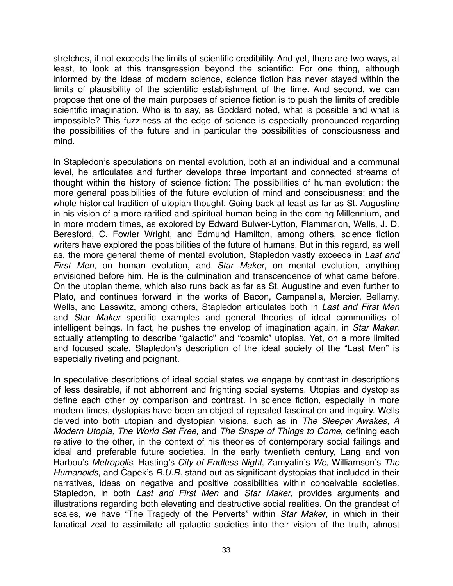stretches, if not exceeds the limits of scientific credibility. And yet, there are two ways, at least, to look at this transgression beyond the scientific: For one thing, although informed by the ideas of modern science, science fiction has never stayed within the limits of plausibility of the scientific establishment of the time. And second, we can propose that one of the main purposes of science fiction is to push the limits of credible scientific imagination. Who is to say, as Goddard noted, what is possible and what is impossible? This fuzziness at the edge of science is especially pronounced regarding the possibilities of the future and in particular the possibilities of consciousness and mind.

In Stapledon's speculations on mental evolution, both at an individual and a communal level, he articulates and further develops three important and connected streams of thought within the history of science fiction: The possibilities of human evolution; the more general possibilities of the future evolution of mind and consciousness; and the whole historical tradition of utopian thought. Going back at least as far as St. Augustine in his vision of a more rarified and spiritual human being in the coming Millennium, and in more modern times, as explored by Edward Bulwer-Lytton, Flammarion, Wells, J. D. Beresford, C. Fowler Wright, and Edmund Hamilton, among others, science fiction writers have explored the possibilities of the future of humans. But in this regard, as well as, the more general theme of mental evolution, Stapledon vastly exceeds in *Last and First Men*, on human evolution, and *Star Maker*, on mental evolution, anything envisioned before him. He is the culmination and transcendence of what came before. On the utopian theme, which also runs back as far as St. Augustine and even further to Plato, and continues forward in the works of Bacon, Campanella, Mercier, Bellamy, Wells, and Lasswitz, among others, Stapledon articulates both in *Last and First Men* and *Star Maker* specific examples and general theories of ideal communities of intelligent beings. In fact, he pushes the envelop of imagination again, in *Star Maker*, actually attempting to describe "galactic" and "cosmic" utopias. Yet, on a more limited and focused scale, Stapledon's description of the ideal society of the "Last Men" is especially riveting and poignant.

In speculative descriptions of ideal social states we engage by contrast in descriptions of less desirable, if not abhorrent and frighting social systems. Utopias and dystopias define each other by comparison and contrast. In science fiction, especially in more modern times, dystopias have been an object of repeated fascination and inquiry. Wells delved into both utopian and dystopian visions, such as in *The Sleeper Awakes, A Modern Utopia, The World Set Free,* and *The Shape of Things to Come*, defining each relative to the other, in the context of his theories of contemporary social failings and ideal and preferable future societies. In the early twentieth century, Lang and von Harbou's *Metropolis*, Hasting's *City of Endless Night*, Zamyatin's *We*, Williamson's *The Humanoids*, and Čapek's *R.U.R.* stand out as significant dystopias that included in their narratives, ideas on negative and positive possibilities within conceivable societies. Stapledon, in both *Last and First Men* and *Star Maker*, provides arguments and illustrations regarding both elevating and destructive social realities. On the grandest of scales, we have "The Tragedy of the Perverts" within *Star Maker*, in which in their fanatical zeal to assimilate all galactic societies into their vision of the truth, almost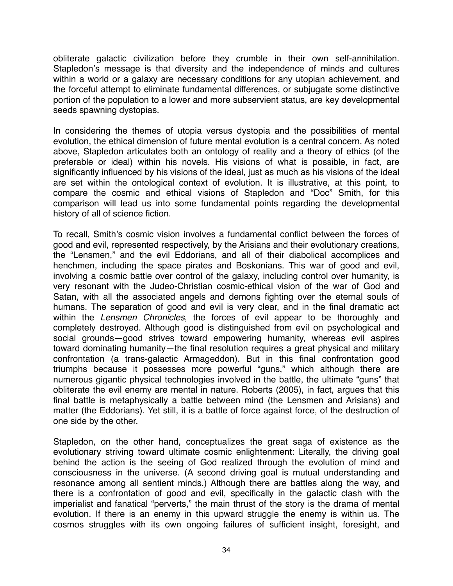obliterate galactic civilization before they crumble in their own self-annihilation. Stapledon's message is that diversity and the independence of minds and cultures within a world or a galaxy are necessary conditions for any utopian achievement, and the forceful attempt to eliminate fundamental differences, or subjugate some distinctive portion of the population to a lower and more subservient status, are key developmental seeds spawning dystopias.

In considering the themes of utopia versus dystopia and the possibilities of mental evolution, the ethical dimension of future mental evolution is a central concern. As noted above, Stapledon articulates both an ontology of reality and a theory of ethics (of the preferable or ideal) within his novels. His visions of what is possible, in fact, are significantly influenced by his visions of the ideal, just as much as his visions of the ideal are set within the ontological context of evolution. It is illustrative, at this point, to compare the cosmic and ethical visions of Stapledon and "Doc" Smith, for this comparison will lead us into some fundamental points regarding the developmental history of all of science fiction.

To recall, Smith's cosmic vision involves a fundamental conflict between the forces of good and evil, represented respectively, by the Arisians and their evolutionary creations, the "Lensmen," and the evil Eddorians, and all of their diabolical accomplices and henchmen, including the space pirates and Boskonians. This war of good and evil, involving a cosmic battle over control of the galaxy, including control over humanity, is very resonant with the Judeo-Christian cosmic-ethical vision of the war of God and Satan, with all the associated angels and demons fighting over the eternal souls of humans. The separation of good and evil is very clear, and in the final dramatic act within the *Lensmen Chronicles*, the forces of evil appear to be thoroughly and completely destroyed. Although good is distinguished from evil on psychological and social grounds—good strives toward empowering humanity, whereas evil aspires toward dominating humanity—the final resolution requires a great physical and military confrontation (a trans-galactic Armageddon). But in this final confrontation good triumphs because it possesses more powerful "guns," which although there are numerous gigantic physical technologies involved in the battle, the ultimate "guns" that obliterate the evil enemy are mental in nature. Roberts (2005), in fact, argues that this final battle is metaphysically a battle between mind (the Lensmen and Arisians) and matter (the Eddorians). Yet still, it is a battle of force against force, of the destruction of one side by the other.

Stapledon, on the other hand, conceptualizes the great saga of existence as the evolutionary striving toward ultimate cosmic enlightenment: Literally, the driving goal behind the action is the seeing of God realized through the evolution of mind and consciousness in the universe. (A second driving goal is mutual understanding and resonance among all sentient minds.) Although there are battles along the way, and there is a confrontation of good and evil, specifically in the galactic clash with the imperialist and fanatical "perverts," the main thrust of the story is the drama of mental evolution. If there is an enemy in this upward struggle the enemy is within us. The cosmos struggles with its own ongoing failures of sufficient insight, foresight, and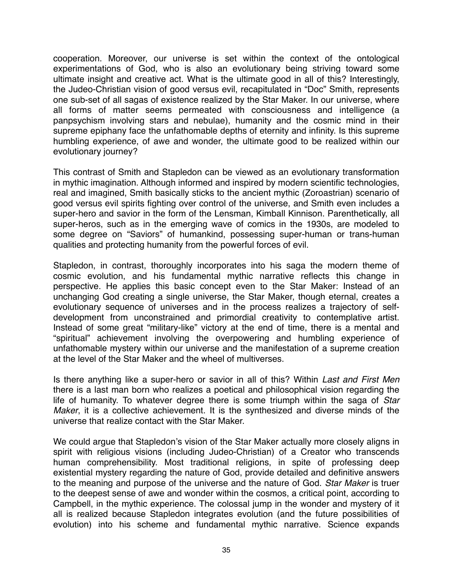cooperation. Moreover, our universe is set within the context of the ontological experimentations of God, who is also an evolutionary being striving toward some ultimate insight and creative act. What is the ultimate good in all of this? Interestingly, the Judeo-Christian vision of good versus evil, recapitulated in "Doc" Smith, represents one sub-set of all sagas of existence realized by the Star Maker. In our universe, where all forms of matter seems permeated with consciousness and intelligence (a panpsychism involving stars and nebulae), humanity and the cosmic mind in their supreme epiphany face the unfathomable depths of eternity and infinity. Is this supreme humbling experience, of awe and wonder, the ultimate good to be realized within our evolutionary journey?

This contrast of Smith and Stapledon can be viewed as an evolutionary transformation in mythic imagination. Although informed and inspired by modern scientific technologies, real and imagined, Smith basically sticks to the ancient mythic (Zoroastrian) scenario of good versus evil spirits fighting over control of the universe, and Smith even includes a super-hero and savior in the form of the Lensman, Kimball Kinnison. Parenthetically, all super-heros, such as in the emerging wave of comics in the 1930s, are modeled to some degree on "Saviors" of humankind, possessing super-human or trans-human qualities and protecting humanity from the powerful forces of evil.

Stapledon, in contrast, thoroughly incorporates into his saga the modern theme of cosmic evolution, and his fundamental mythic narrative reflects this change in perspective. He applies this basic concept even to the Star Maker: Instead of an unchanging God creating a single universe, the Star Maker, though eternal, creates a evolutionary sequence of universes and in the process realizes a trajectory of selfdevelopment from unconstrained and primordial creativity to contemplative artist. Instead of some great "military-like" victory at the end of time, there is a mental and "spiritual" achievement involving the overpowering and humbling experience of unfathomable mystery within our universe and the manifestation of a supreme creation at the level of the Star Maker and the wheel of multiverses.

Is there anything like a super-hero or savior in all of this? Within *Last and First Men*  there is a last man born who realizes a poetical and philosophical vision regarding the life of humanity. To whatever degree there is some triumph within the saga of *Star Maker*, it is a collective achievement. It is the synthesized and diverse minds of the universe that realize contact with the Star Maker.

We could argue that Stapledon's vision of the Star Maker actually more closely aligns in spirit with religious visions (including Judeo-Christian) of a Creator who transcends human comprehensibility. Most traditional religions, in spite of professing deep existential mystery regarding the nature of God, provide detailed and definitive answers to the meaning and purpose of the universe and the nature of God. *Star Maker* is truer to the deepest sense of awe and wonder within the cosmos, a critical point, according to Campbell, in the mythic experience. The colossal jump in the wonder and mystery of it all is realized because Stapledon integrates evolution (and the future possibilities of evolution) into his scheme and fundamental mythic narrative. Science expands